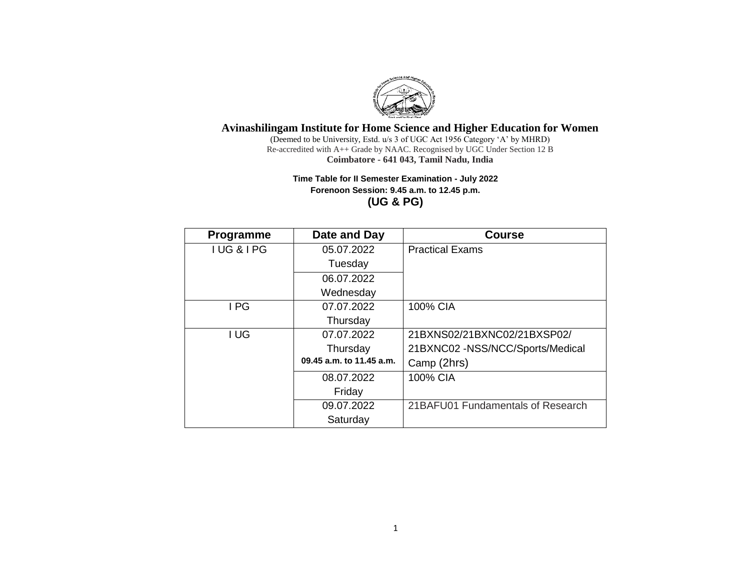

(Deemed to be University, Estd. u/s 3 of UGC Act 1956 Category 'A' by MHRD) Re-accredited with A++ Grade by NAAC. Recognised by UGC Under Section 12 B **Coimbatore - 641 043, Tamil Nadu, India**

## **Time Table for II Semester Examination - July 2022 Forenoon Session: 9.45 a.m. to 12.45 p.m. (UG & PG)**

| <b>Programme</b> | Date and Day             | <b>Course</b>                     |
|------------------|--------------------------|-----------------------------------|
| IUG&IPG          | 05.07.2022               | <b>Practical Exams</b>            |
|                  | Tuesday                  |                                   |
|                  | 06.07.2022               |                                   |
|                  | Wednesday                |                                   |
| I PG             | 07.07.2022               | 100% CIA                          |
|                  | Thursday                 |                                   |
| I UG             | 07.07.2022               | 21BXNS02/21BXNC02/21BXSP02/       |
|                  | Thursday                 | 21BXNC02 -NSS/NCC/Sports/Medical  |
|                  | 09.45 a.m. to 11.45 a.m. | Camp (2hrs)                       |
|                  | 08.07.2022               | 100% CIA                          |
|                  | Friday                   |                                   |
|                  | 09.07.2022               | 21BAFU01 Fundamentals of Research |
|                  | Saturday                 |                                   |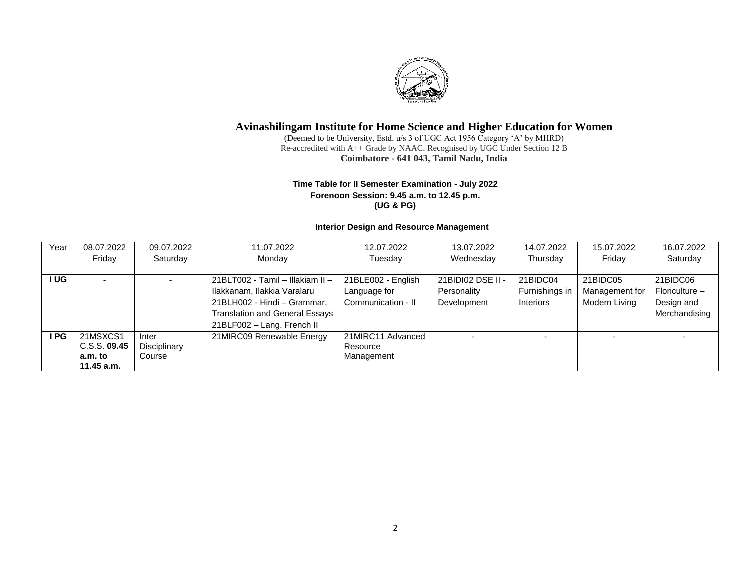

(Deemed to be University, Estd. u/s 3 of UGC Act 1956 Category 'A' by MHRD) Re-accredited with A++ Grade by NAAC. Recognised by UGC Under Section 12 B **Coimbatore - 641 043, Tamil Nadu, India**

### **Time Table for II Semester Examination - July 2022 Forenoon Session: 9.45 a.m. to 12.45 p.m. (UG & PG)**

## **Interior Design and Resource Management**

| Year | 08.07.2022   | 09.07.2022     | 11.07.2022                            | 12.07.2022         | 13.07.2022        | 14.07.2022     | 15.07.2022     | 16.07.2022       |
|------|--------------|----------------|---------------------------------------|--------------------|-------------------|----------------|----------------|------------------|
|      | Friday       | Saturday       | Monday                                | Tuesday            | Wednesday         | Thursday       | Friday         | Saturday         |
|      |              |                |                                       |                    |                   |                |                |                  |
| I UG |              | $\blacksquare$ | 21BLT002 - Tamil - Illakiam II -      | 21BLE002 - English | 21BIDI02 DSE II - | 21BIDC04       | 21BIDC05       | 21BIDC06         |
|      |              |                | Ilakkanam, Ilakkia Varalaru           | Language for       | Personality       | Furnishings in | Management for | $Floriculture -$ |
|      |              |                | 21BLH002 - Hindi - Grammar,           | Communication - II | Development       | Interiors      | Modern Living  | Design and       |
|      |              |                | <b>Translation and General Essays</b> |                    |                   |                |                | Merchandising    |
|      |              |                | 21BLF002 - Lang. French II            |                    |                   |                |                |                  |
| I PG | 21MSXCS1     | Inter          | 21MIRC09 Renewable Energy             | 21MIRC11 Advanced  |                   |                |                |                  |
|      | C.S.S. 09.45 | Disciplinary   |                                       | Resource           |                   |                |                |                  |
|      | a.m. to      | Course         |                                       | Management         |                   |                |                |                  |
|      | 11.45 a.m.   |                |                                       |                    |                   |                |                |                  |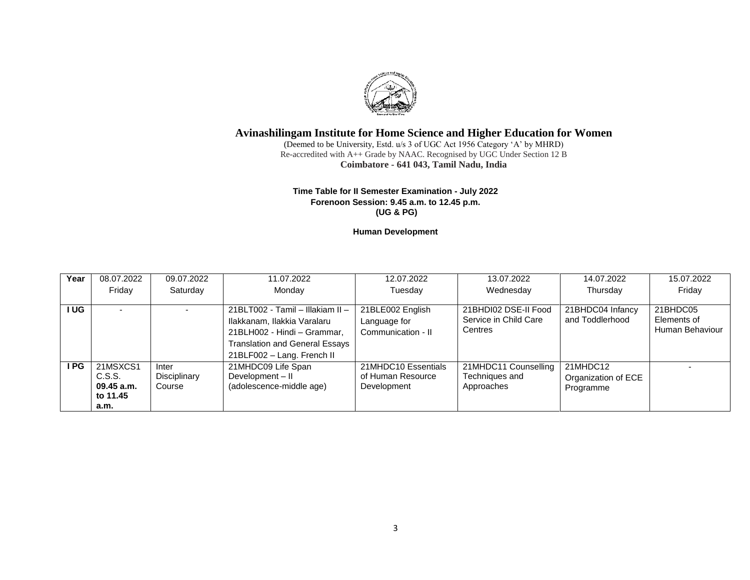

(Deemed to be University, Estd. u/s 3 of UGC Act 1956 Category 'A' by MHRD) Re-accredited with A++ Grade by NAAC. Recognised by UGC Under Section 12 B **Coimbatore - 641 043, Tamil Nadu, India**

#### **Time Table for II Semester Examination - July 2022 Forenoon Session: 9.45 a.m. to 12.45 p.m. (UG & PG)**

**Human Development**

| Year   | 08.07.2022 | 09.07.2022   | 11.07.2022                            | 12.07.2022          | 13.07.2022            | 14.07.2022          | 15.07.2022      |
|--------|------------|--------------|---------------------------------------|---------------------|-----------------------|---------------------|-----------------|
|        | Friday     | Saturday     | Monday                                | Tuesday             | Wednesday             | Thursday            | Friday          |
|        |            |              |                                       |                     |                       |                     |                 |
| I UG I |            |              | 21BLT002 - Tamil - Illakiam II -      | 21BLE002 English    | 21BHDI02 DSE-II Food  | 21BHDC04 Infancy    | 21BHDC05        |
|        |            |              | Ilakkanam, Ilakkia Varalaru           | Language for        | Service in Child Care | and Toddlerhood     | Elements of     |
|        |            |              | 21BLH002 - Hindi - Grammar,           | Communication - II  | Centres               |                     | Human Behaviour |
|        |            |              | <b>Translation and General Essays</b> |                     |                       |                     |                 |
|        |            |              | 21BLF002 - Lang. French II            |                     |                       |                     |                 |
| I PG   | 21MSXCS1   | Inter        | 21MHDC09 Life Span                    | 21MHDC10 Essentials | 21MHDC11 Counselling  | 21MHDC12            |                 |
|        | C.S.S.     | Disciplinary | Development - II                      | of Human Resource   | Techniques and        | Organization of ECE |                 |
|        | 09.45 a.m. | Course       | (adolescence-middle age)              | Development         | Approaches            | Programme           |                 |
|        | to 11.45   |              |                                       |                     |                       |                     |                 |
|        | a.m.       |              |                                       |                     |                       |                     |                 |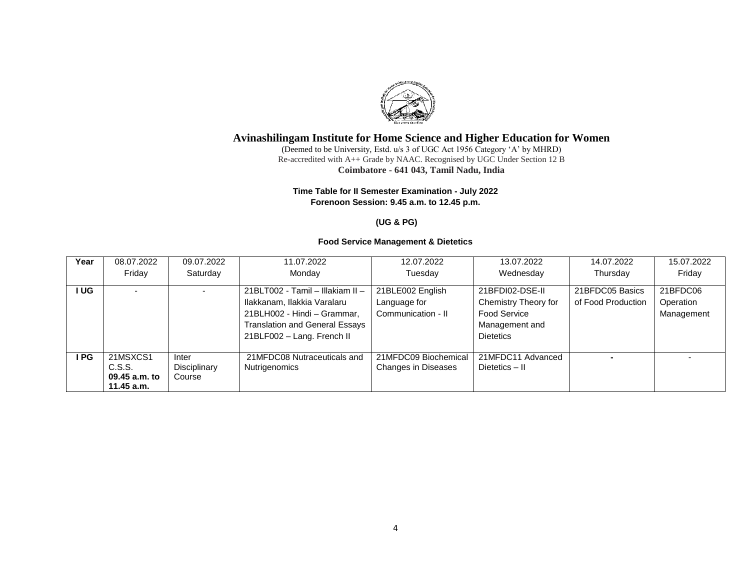

(Deemed to be University, Estd. u/s 3 of UGC Act 1956 Category 'A' by MHRD) Re-accredited with A++ Grade by NAAC. Recognised by UGC Under Section 12 B **Coimbatore - 641 043, Tamil Nadu, India**

### **Time Table for II Semester Examination - July 2022 Forenoon Session: 9.45 a.m. to 12.45 p.m.**

### **(UG & PG)**

#### **Food Service Management & Dietetics**

| Year  | 08.07.2022                                          | 09.07.2022                      | 11.07.2022                                                                                                                                                            | 12.07.2022                                             | 13.07.2022                                                                                    | 14.07.2022                            | 15.07.2022                          |
|-------|-----------------------------------------------------|---------------------------------|-----------------------------------------------------------------------------------------------------------------------------------------------------------------------|--------------------------------------------------------|-----------------------------------------------------------------------------------------------|---------------------------------------|-------------------------------------|
|       | Friday                                              | Saturday                        | Monday                                                                                                                                                                | Tuesday                                                | Wednesday                                                                                     | Thursday                              | Friday                              |
| I UG. |                                                     |                                 | 21BLT002 - Tamil - Illakiam II -<br>Ilakkanam, Ilakkia Varalaru<br>21BLH002 - Hindi - Grammar,<br><b>Translation and General Essays</b><br>21BLF002 - Lang. French II | 21BLE002 English<br>Language for<br>Communication - II | 21BFDI02-DSE-II<br>Chemistry Theory for<br>Food Service<br>Management and<br><b>Dietetics</b> | 21BFDC05 Basics<br>of Food Production | 21BFDC06<br>Operation<br>Management |
| I PG. | 21MSXCS1<br>C.S.S.<br>09.45 a.m. to<br>$11.45$ a.m. | Inter<br>Disciplinary<br>Course | 21MFDC08 Nutraceuticals and<br>Nutrigenomics                                                                                                                          | 21MFDC09 Biochemical<br>Changes in Diseases            | 21MFDC11 Advanced<br>Dietetics - II                                                           |                                       |                                     |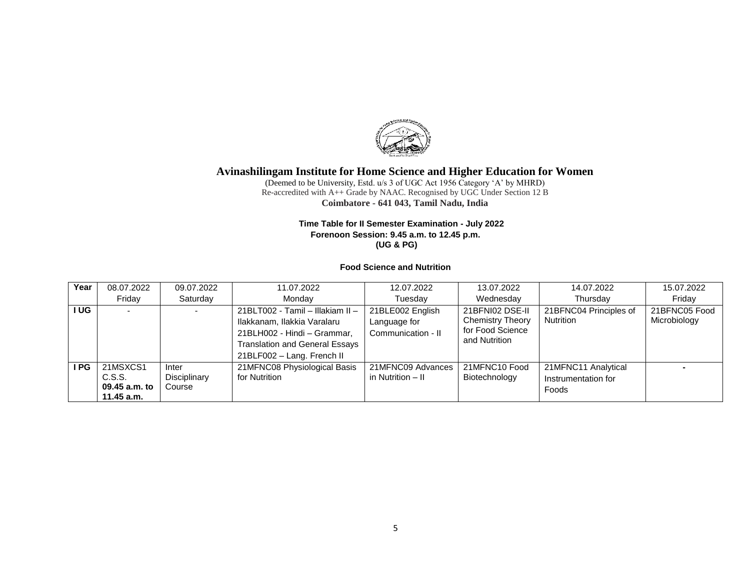

(Deemed to be University, Estd. u/s 3 of UGC Act 1956 Category 'A' by MHRD) Re-accredited with A++ Grade by NAAC. Recognised by UGC Under Section 12 B **Coimbatore - 641 043, Tamil Nadu, India**

#### **Time Table for II Semester Examination - July 2022 Forenoon Session: 9.45 a.m. to 12.45 p.m. (UG & PG)**

#### **Food Science and Nutrition**

| Year   | 08.07.2022                                        | 09.07.2022                      | 11.07.2022                                                                                                                                                     | 12.07.2022                                             | 13.07.2022                                                                      | 14.07.2022                                          | 15.07.2022                    |
|--------|---------------------------------------------------|---------------------------------|----------------------------------------------------------------------------------------------------------------------------------------------------------------|--------------------------------------------------------|---------------------------------------------------------------------------------|-----------------------------------------------------|-------------------------------|
|        | Friday                                            | Saturday                        | Mondav                                                                                                                                                         | Tuesday                                                | Wednesday                                                                       | Thursday                                            | Friday                        |
| I UG I |                                                   |                                 | 21BLT002 - Tamil - Illakiam II -<br>Ilakkanam, Ilakkia Varalaru<br>21BLH002 - Hindi - Grammar,<br>Translation and General Essays<br>21BLF002 - Lang. French II | 21BLE002 English<br>Language for<br>Communication - II | 21BFNI02 DSE-II<br><b>Chemistry Theory</b><br>for Food Science<br>and Nutrition | 21BFNC04 Principles of<br><b>Nutrition</b>          | 21BFNC05 Food<br>Microbiology |
| I PG   | 21MSXCS1<br>C.S.S.<br>09.45 a.m. to<br>11.45 a.m. | Inter<br>Disciplinary<br>Course | 21MFNC08 Physiological Basis<br>for Nutrition                                                                                                                  | 21MFNC09 Advances<br>in Nutrition – II                 | 21MFNC10 Food<br>Biotechnology                                                  | 21MFNC11 Analytical<br>Instrumentation for<br>Foods |                               |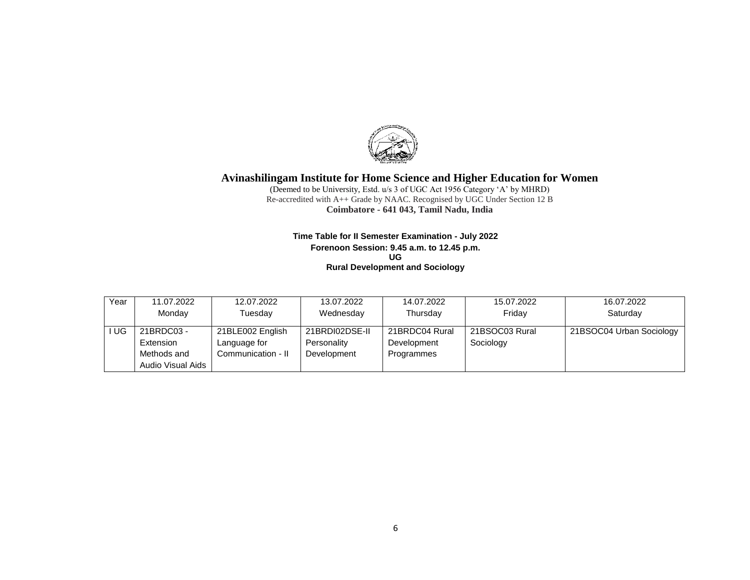

(Deemed to be University, Estd. u/s 3 of UGC Act 1956 Category 'A' by MHRD) Re-accredited with A++ Grade by NAAC. Recognised by UGC Under Section 12 B **Coimbatore - 641 043, Tamil Nadu, India**

#### **Time Table for II Semester Examination - July 2022 Forenoon Session: 9.45 a.m. to 12.45 p.m. UG Rural Development and Sociology**

| Year | 11.07.2022        | 12.07.2022         | 13.07.2022     | 14.07.2022     | 15.07.2022     | 16.07.2022               |
|------|-------------------|--------------------|----------------|----------------|----------------|--------------------------|
|      | Monday            | Tuesday            | Wednesday      | Thursday       | Friday         | Saturday                 |
|      |                   |                    |                |                |                |                          |
| UG   | 21BRDC03 -        | 21BLE002 English   | 21BRDI02DSE-II | 21BRDC04 Rural | 21BSOC03 Rural | 21BSOC04 Urban Sociology |
|      | Extension         | Language for       | Personality    | Development    | Sociology      |                          |
|      | Methods and       | Communication - II | Development    | Programmes     |                |                          |
|      | Audio Visual Aids |                    |                |                |                |                          |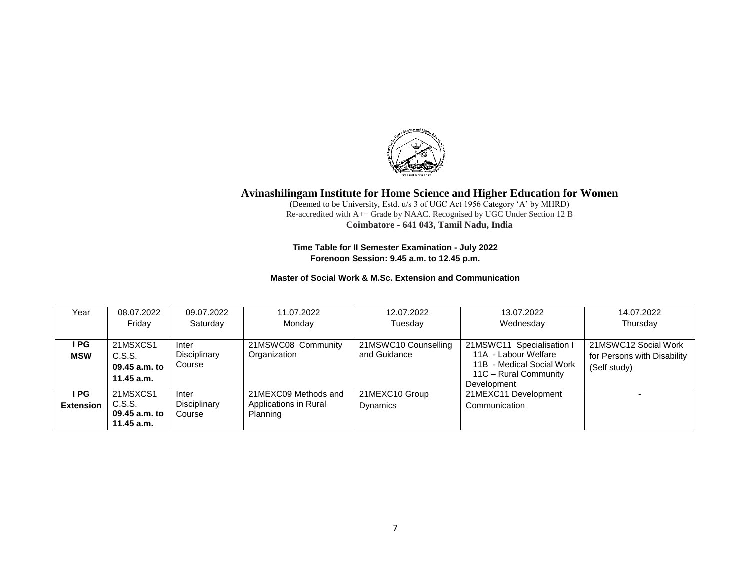

(Deemed to be University, Estd. u/s 3 of UGC Act 1956 Category 'A' by MHRD) Re-accredited with A++ Grade by NAAC. Recognised by UGC Under Section 12 B **Coimbatore - 641 043, Tamil Nadu, India**

**Time Table for II Semester Examination - July 2022 Forenoon Session: 9.45 a.m. to 12.45 p.m.**

### **Master of Social Work & M.Sc. Extension and Communication**

| Year             | 08.07.2022    | 09.07.2022   | 11.07.2022            | 12.07.2022           | 13.07.2022                | 14.07.2022                  |
|------------------|---------------|--------------|-----------------------|----------------------|---------------------------|-----------------------------|
|                  | Fridav        | Saturday     | Monday                | Tuesday              | Wednesday                 | Thursday                    |
|                  |               |              |                       |                      |                           |                             |
| I PG             | 21MSXCS1      | Inter        | 21MSWC08 Community    | 21MSWC10 Counselling | 21MSWC11 Specialisation I | 21MSWC12 Social Work        |
| <b>MSW</b>       | C.S.S.        | Disciplinary | Organization          | and Guidance         | 11A - Labour Welfare      | for Persons with Disability |
|                  | 09.45 a.m. to | Course       |                       |                      | 11B - Medical Social Work | (Self study)                |
|                  | 11.45 a.m.    |              |                       |                      | 11C - Rural Community     |                             |
|                  |               |              |                       |                      | Development               |                             |
| I PG.            | 21MSXCS1      | Inter        | 21MEXC09 Methods and  | 21MEXC10 Group       | 21MEXC11 Development      |                             |
| <b>Extension</b> | C.S.S.        | Disciplinary | Applications in Rural | Dynamics             | Communication             |                             |
|                  | 09.45 a.m. to | Course       | Planning              |                      |                           |                             |
|                  | 11.45 a.m.    |              |                       |                      |                           |                             |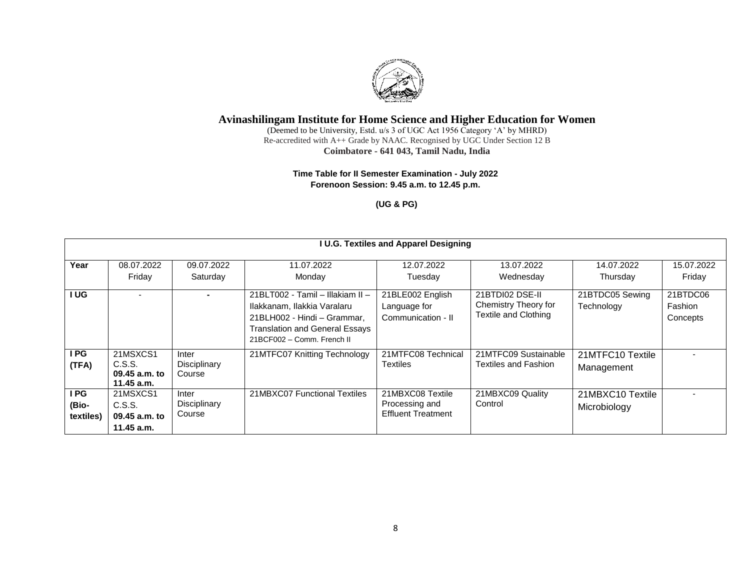

(Deemed to be University, Estd. u/s 3 of UGC Act 1956 Category 'A' by MHRD) Re-accredited with A++ Grade by NAAC. Recognised by UGC Under Section 12 B **Coimbatore - 641 043, Tamil Nadu, India**

#### **Time Table for II Semester Examination - July 2022 Forenoon Session: 9.45 a.m. to 12.45 p.m.**

**(UG & PG)**

|                            |                                                     |                                 |                                                                                                                                                                       | <b>I U.G. Textiles and Apparel Designing</b>                    |                                                                        |                                  |                                 |
|----------------------------|-----------------------------------------------------|---------------------------------|-----------------------------------------------------------------------------------------------------------------------------------------------------------------------|-----------------------------------------------------------------|------------------------------------------------------------------------|----------------------------------|---------------------------------|
| Year                       | 08.07.2022<br>Friday                                | 09.07.2022<br>Saturday          | 11.07.2022<br>Monday                                                                                                                                                  | 12.07.2022<br>Tuesdav                                           | 13.07.2022<br>Wednesday                                                | 14.07.2022<br>Thursday           | 15.07.2022<br>Friday            |
| I UG                       |                                                     | $\blacksquare$                  | 21BLT002 - Tamil - Illakiam II -<br>Ilakkanam, Ilakkia Varalaru<br>21BLH002 - Hindi - Grammar,<br><b>Translation and General Essays</b><br>21BCF002 - Comm. French II | 21BLE002 English<br>Language for<br>Communication - II          | 21BTDI02 DSE-II<br>Chemistry Theory for<br><b>Textile and Clothing</b> | 21BTDC05 Sewing<br>Technology    | 21BTDC06<br>Fashion<br>Concepts |
| I PG.<br>(TFA)             | 21MSXCS1<br>C.S.S.<br>$09.45$ a.m. to<br>11.45 a.m. | Inter<br>Disciplinary<br>Course | 21MTFC07 Knitting Technology                                                                                                                                          | 21MTFC08 Technical<br><b>Textiles</b>                           | 21MTFC09 Sustainable<br>Textiles and Fashion                           | 21MTFC10 Textile<br>Management   |                                 |
| I PG<br>(Bio-<br>textiles) | 21MSXCS1<br>C.S.S.<br>09.45 a.m. to<br>11.45 a.m.   | Inter<br>Disciplinary<br>Course | 21MBXC07 Functional Textiles                                                                                                                                          | 21MBXC08 Textile<br>Processing and<br><b>Effluent Treatment</b> | 21MBXC09 Quality<br>Control                                            | 21MBXC10 Textile<br>Microbiology |                                 |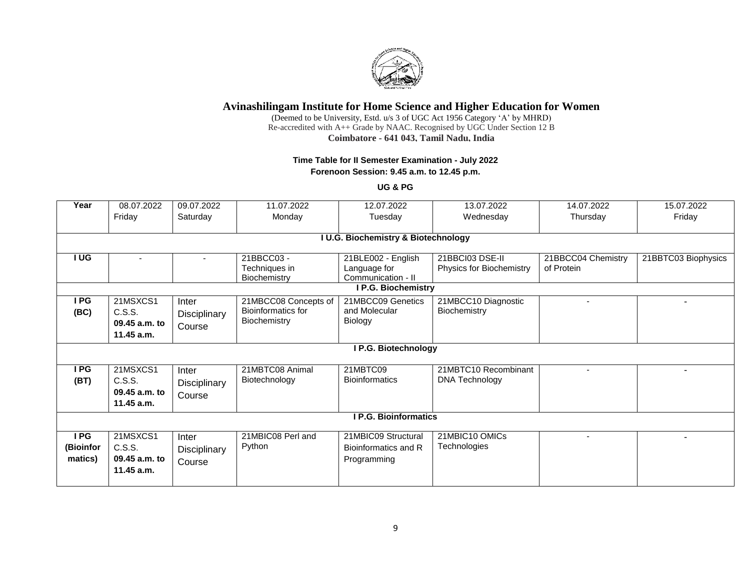

(Deemed to be University, Estd. u/s 3 of UGC Act 1956 Category 'A' by MHRD) Re-accredited with A++ Grade by NAAC. Recognised by UGC Under Section 12 B **Coimbatore - 641 043, Tamil Nadu, India**

## **Time Table for II Semester Examination - July 2022**

**Forenoon Session: 9.45 a.m. to 12.45 p.m.**

**UG & PG**

| Year      | 08.07.2022      | 09.07.2022   | 11.07.2022           | 12.07.2022                          | 13.07.2022               | 14.07.2022         | 15.07.2022          |
|-----------|-----------------|--------------|----------------------|-------------------------------------|--------------------------|--------------------|---------------------|
|           | Friday          | Saturday     | Monday               | Tuesday                             | Wednesday                | Thursday           | Friday              |
|           |                 |              |                      |                                     |                          |                    |                     |
|           |                 |              |                      | I U.G. Biochemistry & Biotechnology |                          |                    |                     |
| I UG      |                 |              | 21BBCC03-            | 21BLE002 - English                  | 21BBCI03 DSE-II          | 21BBCC04 Chemistry | 21BBTC03 Biophysics |
|           |                 |              | Techniques in        | Language for                        | Physics for Biochemistry | of Protein         |                     |
|           |                 |              | Biochemistry         | Communication - II                  |                          |                    |                     |
|           |                 |              |                      | I P.G. Biochemistry                 |                          |                    |                     |
| I PG      | 21MSXCS1        | Inter        | 21MBCC08 Concepts of | 21MBCC09 Genetics                   | 21MBCC10 Diagnostic      |                    |                     |
| (BC)      | C.S.S.          | Disciplinary | Bioinformatics for   | and Molecular                       | Biochemistry             |                    |                     |
|           | 09.45 a.m. to   | Course       | Biochemistry         | Biology                             |                          |                    |                     |
|           | $11.45$ a.m.    |              |                      |                                     |                          |                    |                     |
|           |                 |              |                      | <b>I P.G. Biotechnology</b>         |                          |                    |                     |
|           |                 |              |                      |                                     |                          |                    |                     |
| I PG      | 21MSXCS1        | Inter        | 21MBTC08 Animal      | 21MBTC09                            | 21MBTC10 Recombinant     |                    |                     |
| (BT)      | C.S.S.          | Disciplinary | Biotechnology        | <b>Bioinformatics</b>               | <b>DNA Technology</b>    |                    |                     |
|           | 09.45 a.m. to   | Course       |                      |                                     |                          |                    |                     |
|           | $11.45$ a.m.    |              |                      |                                     |                          |                    |                     |
|           |                 |              |                      | <b>I P.G. Bioinformatics</b>        |                          |                    |                     |
|           |                 |              |                      |                                     |                          |                    |                     |
| I PG      | 21MSXCS1        | Inter        | 21MBIC08 Perl and    | 21MBIC09 Structural                 | 21MBIC10 OMICs           |                    |                     |
| (Bioinfor | C.S.S.          | Disciplinary | Python               | Bioinformatics and R                | Technologies             |                    |                     |
| matics)   | $09.45$ a.m. to | Course       |                      | Programming                         |                          |                    |                     |
|           | 11.45 a.m.      |              |                      |                                     |                          |                    |                     |
|           |                 |              |                      |                                     |                          |                    |                     |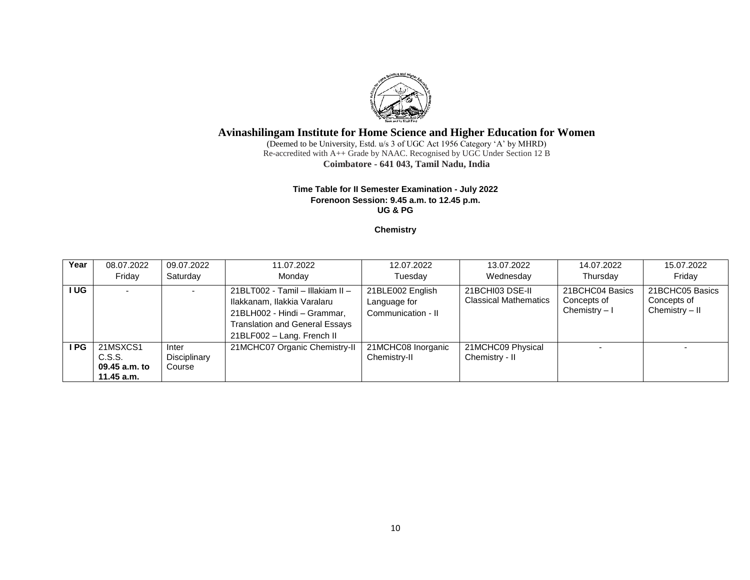

(Deemed to be University, Estd. u/s 3 of UGC Act 1956 Category 'A' by MHRD) Re-accredited with A++ Grade by NAAC. Recognised by UGC Under Section 12 B **Coimbatore - 641 043, Tamil Nadu, India**

#### **Time Table for II Semester Examination - July 2022 Forenoon Session: 9.45 a.m. to 12.45 p.m. UG & PG**

### **Chemistry**

| Year | 08.07.2022                                        | 09.07.2022                      | 11.07.2022                                                                                                                                                            | 12.07.2022                                             | 13.07.2022                                      | 14.07.2022                                       | 15.07.2022                                       |
|------|---------------------------------------------------|---------------------------------|-----------------------------------------------------------------------------------------------------------------------------------------------------------------------|--------------------------------------------------------|-------------------------------------------------|--------------------------------------------------|--------------------------------------------------|
|      | Fridav                                            | Saturday                        | Monday                                                                                                                                                                | Tuesdav                                                | Wednesday                                       | Thursday                                         | Fridav                                           |
| I UG |                                                   | $\overline{\phantom{0}}$        | 21BLT002 - Tamil - Illakiam II -<br>Ilakkanam, Ilakkia Varalaru<br>21BLH002 - Hindi - Grammar,<br><b>Translation and General Essays</b><br>21BLF002 - Lang. French II | 21BLE002 English<br>Language for<br>Communication - II | 21BCHI03 DSE-II<br><b>Classical Mathematics</b> | 21BCHC04 Basics<br>Concepts of<br>Chemistry $-1$ | 21BCHC05 Basics<br>Concepts of<br>Chemistry - II |
| I PG | 21MSXCS1<br>C.S.S.<br>09.45 a.m. to<br>11.45 a.m. | Inter<br>Disciplinary<br>Course | 21MCHC07 Organic Chemistry-II                                                                                                                                         | 21MCHC08 Inorganic<br>Chemistry-II                     | 21MCHC09 Physical<br>Chemistry - II             |                                                  |                                                  |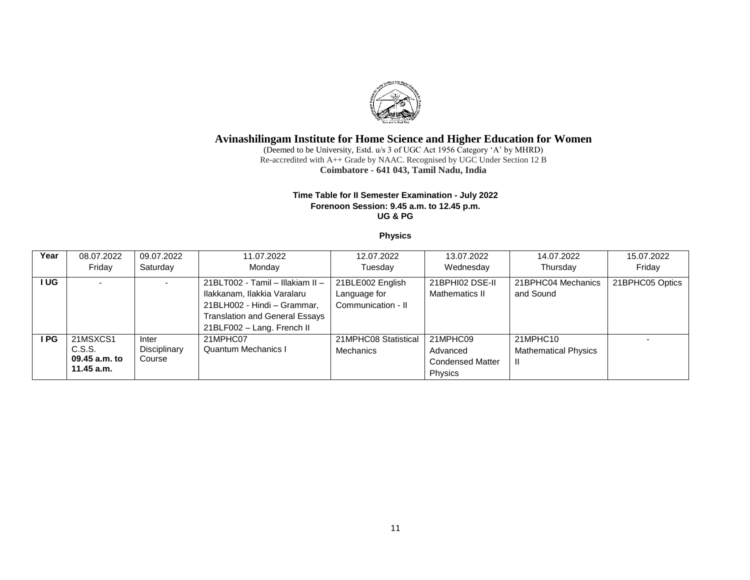

(Deemed to be University, Estd. u/s 3 of UGC Act 1956 Category 'A' by MHRD) Re-accredited with A++ Grade by NAAC. Recognised by UGC Under Section 12 B **Coimbatore - 641 043, Tamil Nadu, India**

#### **Time Table for II Semester Examination - July 2022 Forenoon Session: 9.45 a.m. to 12.45 p.m. UG & PG**

#### **Physics**

| Year | 08.07.2022                                          | 09.07.2022                      | 11.07.2022                                                                                                                                                            | 12.07.2022                                             | 13.07.2022                                                 | 14.07.2022                                    | 15.07.2022      |
|------|-----------------------------------------------------|---------------------------------|-----------------------------------------------------------------------------------------------------------------------------------------------------------------------|--------------------------------------------------------|------------------------------------------------------------|-----------------------------------------------|-----------------|
|      | Fridav                                              | Saturday                        | Monday                                                                                                                                                                | Tuesdav                                                | Wednesday                                                  | Thursday                                      | Fridav          |
| I UG |                                                     |                                 | 21BLT002 - Tamil - Illakiam II -<br>Ilakkanam, Ilakkia Varalaru<br>21BLH002 - Hindi - Grammar,<br><b>Translation and General Essays</b><br>21BLF002 - Lang. French II | 21BLE002 English<br>Language for<br>Communication - II | 21BPHI02 DSE-II<br>Mathematics II                          | 21BPHC04 Mechanics<br>and Sound               | 21BPHC05 Optics |
| I PG | 21MSXCS1<br>C.S.S.<br>09.45 a.m. to<br>$11.45$ a.m. | Inter<br>Disciplinary<br>Course | 21MPHC07<br>Quantum Mechanics I                                                                                                                                       | 21MPHC08 Statistical<br>Mechanics                      | 21MPHC09<br>Advanced<br><b>Condensed Matter</b><br>Physics | 21MPHC10<br><b>Mathematical Physics</b><br>H. |                 |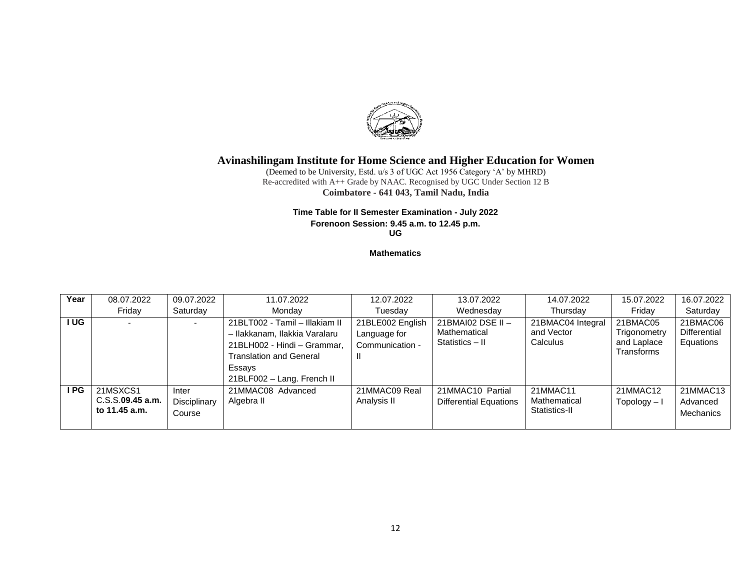

(Deemed to be University, Estd. u/s 3 of UGC Act 1956 Category 'A' by MHRD) Re-accredited with A++ Grade by NAAC. Recognised by UGC Under Section 12 B **Coimbatore - 641 043, Tamil Nadu, India**

# **Time Table for II Semester Examination - July 2022**

**Forenoon Session: 9.45 a.m. to 12.45 p.m.**

**UG** 

#### **Mathematics**

| Year | 08.07.2022                                       | 09.07.2022                      | 11.07.2022                                                                                                                                                               | 12.07.2022                                               | 13.07.2022                                           | 14.07.2022                                  | 15.07.2022                                            | 16.07.2022                               |
|------|--------------------------------------------------|---------------------------------|--------------------------------------------------------------------------------------------------------------------------------------------------------------------------|----------------------------------------------------------|------------------------------------------------------|---------------------------------------------|-------------------------------------------------------|------------------------------------------|
|      | Friday                                           | Saturday                        | Monday                                                                                                                                                                   | Tuesday                                                  | Wednesday                                            | Thursday                                    | Fridav                                                | Saturday                                 |
| I UG |                                                  |                                 | 21BLT002 - Tamil - Illakiam II<br>- Ilakkanam, Ilakkia Varalaru<br>21BLH002 - Hindi - Grammar,<br><b>Translation and General</b><br>Essays<br>21BLF002 - Lang. French II | 21BLE002 English<br>Language for<br>Communication -<br>Ш | 21BMAI02 DSE II -<br>Mathematical<br>Statistics - II | 21BMAC04 Integral<br>and Vector<br>Calculus | 21BMAC05<br>Trigonometry<br>and Laplace<br>Transforms | 21BMAC06<br>Differential<br>Equations    |
| I PG | 21MSXCS1<br>$C.S.S.$ 09.45 a.m.<br>to 11.45 a.m. | Inter<br>Disciplinary<br>Course | 21MMAC08 Advanced<br>Algebra II                                                                                                                                          | 21MMAC09 Real<br>Analysis II                             | 21MMAC10 Partial<br><b>Differential Equations</b>    | 21MMAC11<br>Mathematical<br>Statistics-II   | 21MMAC12<br>Topology – I                              | 21MMAC13<br>Advanced<br><b>Mechanics</b> |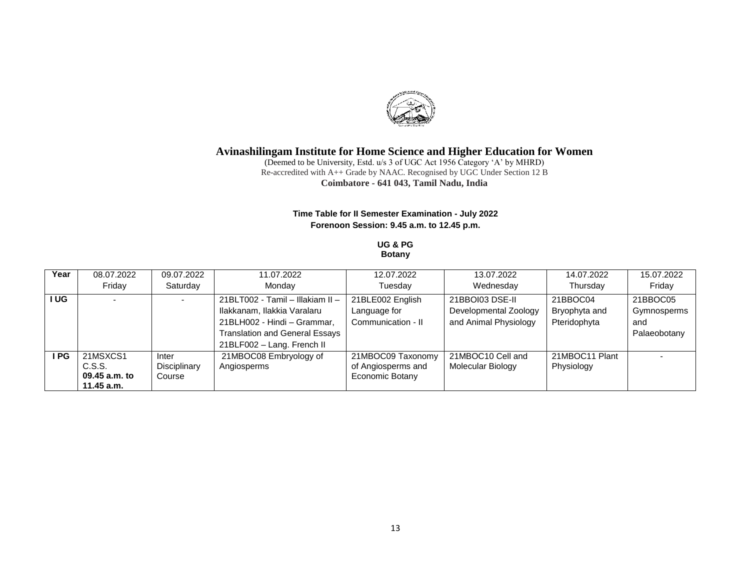

(Deemed to be University, Estd. u/s 3 of UGC Act 1956 Category 'A' by MHRD) Re-accredited with A++ Grade by NAAC. Recognised by UGC Under Section 12 B **Coimbatore - 641 043, Tamil Nadu, India**

## **Time Table for II Semester Examination - July 2022 Forenoon Session: 9.45 a.m. to 12.45 p.m.**

#### **UG & PG Botany**

| Year | 08.07.2022                  | 09.07.2022   | 11.07.2022                            | 12.07.2022         | 13.07.2022            | 14.07.2022     | 15.07.2022   |
|------|-----------------------------|--------------|---------------------------------------|--------------------|-----------------------|----------------|--------------|
|      | Fridav                      | Saturday     | Monday                                | Tuesdav            | Wednesday             | Thursday       | Friday       |
| I UG |                             |              | 21BLT002 - Tamil - Illakiam II -      | 21BLE002 English   | 21BBOI03 DSE-II       | 21BBOC04       | 21BBOC05     |
|      |                             |              | Ilakkanam, Ilakkia Varalaru           | Language for       | Developmental Zoology | Bryophyta and  | Gymnosperms  |
|      |                             |              | 21BLH002 - Hindi - Grammar,           | Communication - II | and Animal Physiology | Pteridophyta   | and          |
|      |                             |              | <b>Translation and General Essays</b> |                    |                       |                | Palaeobotany |
|      |                             |              | 21BLF002 - Lang. French II            |                    |                       |                |              |
| I PG | 21MSXCS1                    | Inter        | 21MBOC08 Embryology of                | 21MBOC09 Taxonomy  | 21MBOC10 Cell and     | 21MBOC11 Plant |              |
|      | C.S.S.                      | Disciplinary | Angiosperms                           | of Angiosperms and | Molecular Biology     | Physiology     |              |
|      | 09.45 a.m. to<br>11.45 a.m. | Course       |                                       | Economic Botany    |                       |                |              |
|      |                             |              |                                       |                    |                       |                |              |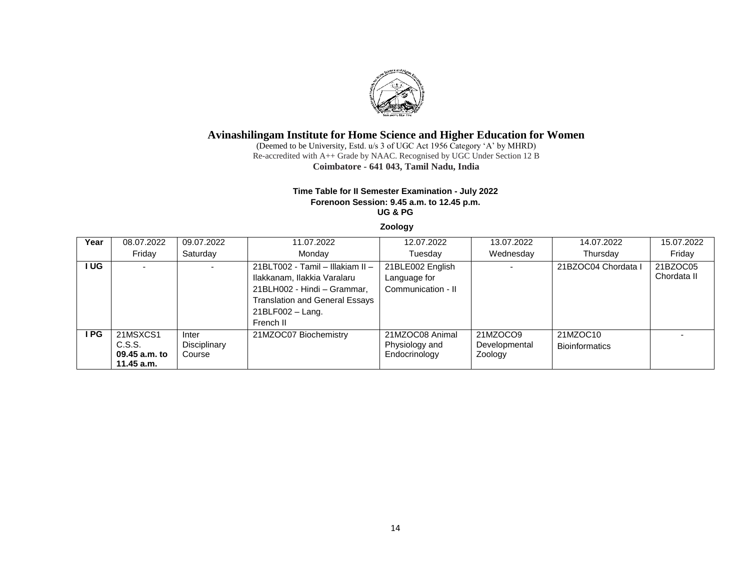

(Deemed to be University, Estd. u/s 3 of UGC Act 1956 Category 'A' by MHRD) Re-accredited with A++ Grade by NAAC. Recognised by UGC Under Section 12 B **Coimbatore - 641 043, Tamil Nadu, India**

#### **Time Table for II Semester Examination - July 2022 Forenoon Session: 9.45 a.m. to 12.45 p.m. UG & PG**

#### **Zoology**

| Year  | 08.07.2022                                        | 09.07.2022                      | 11.07.2022                                                                                                                                                                  | 12.07.2022                                             | 13.07.2022                           | 14.07.2022                        | 15.07.2022              |
|-------|---------------------------------------------------|---------------------------------|-----------------------------------------------------------------------------------------------------------------------------------------------------------------------------|--------------------------------------------------------|--------------------------------------|-----------------------------------|-------------------------|
|       | Friday                                            | Saturday                        | Monday                                                                                                                                                                      | Tuesday                                                | Wednesday                            | Thursday                          | Friday                  |
| I UG. |                                                   |                                 | 21BLT002 - Tamil - Illakiam II -<br>Ilakkanam, Ilakkia Varalaru<br>21BLH002 - Hindi - Grammar,<br><b>Translation and General Essays</b><br>$21BLF002 - Lang$ .<br>French II | 21BLE002 English<br>Language for<br>Communication - II |                                      | 21BZOC04 Chordata I               | 21BZOC05<br>Chordata II |
| I PG. | 21MSXCS1<br>C.S.S.<br>09.45 a.m. to<br>11.45 a.m. | Inter<br>Disciplinary<br>Course | 21MZOC07 Biochemistry                                                                                                                                                       | 21MZOC08 Animal<br>Physiology and<br>Endocrinology     | 21MZOCO9<br>Developmental<br>Zoology | 21MZOC10<br><b>Bioinformatics</b> |                         |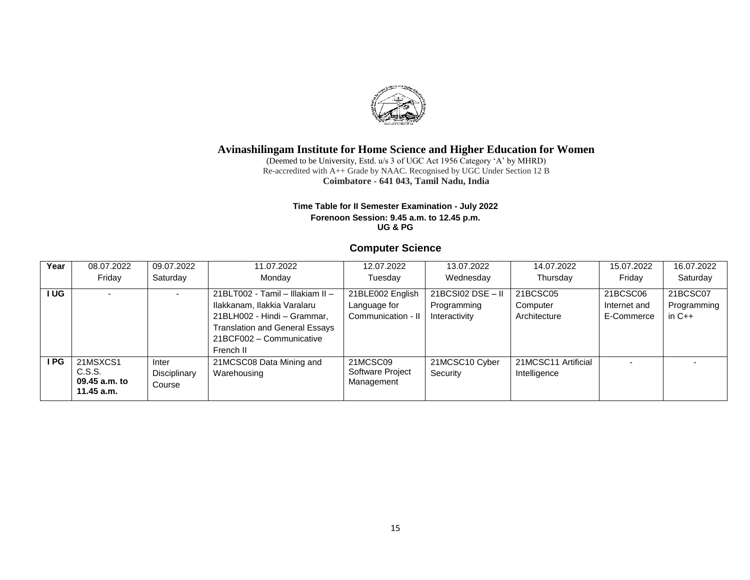

(Deemed to be University, Estd. u/s 3 of UGC Act 1956 Category 'A' by MHRD) Re-accredited with A++ Grade by NAAC. Recognised by UGC Under Section 12 B **Coimbatore - 641 043, Tamil Nadu, India**

#### **Time Table for II Semester Examination - July 2022 Forenoon Session: 9.45 a.m. to 12.45 p.m. UG & PG**

## **Computer Science**

| Year   | 08.07.2022                                        | 09.07.2022                      | 11.07.2022                                                                                                                                                                       | 12.07.2022                                             | 13.07.2022                                            | 14.07.2022                           | 15.07.2022                             | 16.07.2022                          |
|--------|---------------------------------------------------|---------------------------------|----------------------------------------------------------------------------------------------------------------------------------------------------------------------------------|--------------------------------------------------------|-------------------------------------------------------|--------------------------------------|----------------------------------------|-------------------------------------|
|        | Friday                                            | Saturday                        | Monday                                                                                                                                                                           | Tuesday                                                | Wednesday                                             | Thursday                             | Fridav                                 | Saturday                            |
| I UG I |                                                   |                                 | 21BLT002 - Tamil - Illakiam II -<br>Ilakkanam, Ilakkia Varalaru<br>21BLH002 - Hindi - Grammar,<br><b>Translation and General Essays</b><br>21BCF002 - Communicative<br>French II | 21BLE002 English<br>Language for<br>Communication - II | $21BCSIO2$ $DSE$ - II<br>Programming<br>Interactivity | 21BCSC05<br>Computer<br>Architecture | 21BCSC06<br>Internet and<br>E-Commerce | 21BCSC07<br>Programming<br>in $C++$ |
| I PG.  | 21MSXCS1<br>C.S.S.<br>09.45 a.m. to<br>11.45 a.m. | Inter<br>Disciplinary<br>Course | 21MCSC08 Data Mining and<br>Warehousing                                                                                                                                          | 21MCSC09<br>Software Project<br>Management             | 21MCSC10 Cyber<br>Security                            | 21MCSC11 Artificial<br>Intelligence  |                                        |                                     |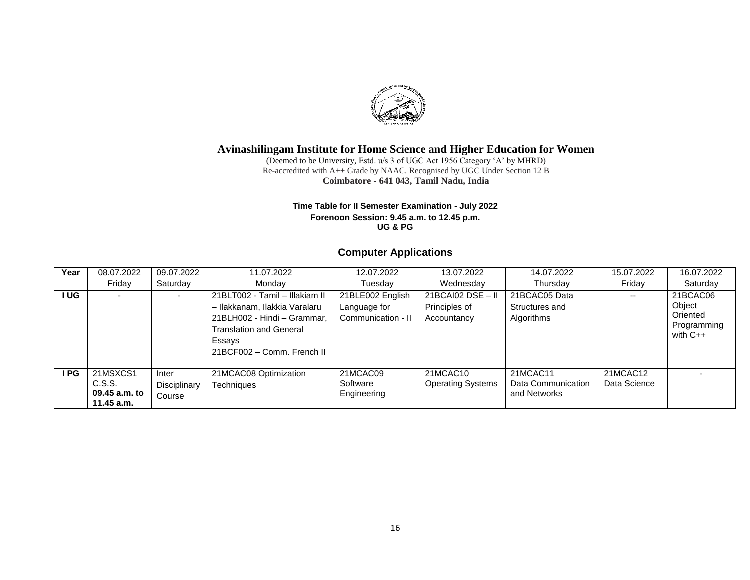

(Deemed to be University, Estd. u/s 3 of UGC Act 1956 Category 'A' by MHRD) Re-accredited with A++ Grade by NAAC. Recognised by UGC Under Section 12 B **Coimbatore - 641 043, Tamil Nadu, India**

#### **Time Table for II Semester Examination - July 2022 Forenoon Session: 9.45 a.m. to 12.45 p.m. UG & PG**

# **Computer Applications**

| Year | 08.07.2022                                        | 09.07.2022                      | 11.07.2022                                                                                            | 12.07.2022                          | 13.07.2022                           | 14.07.2022                                     | 15.07.2022               | 16.07.2022                            |
|------|---------------------------------------------------|---------------------------------|-------------------------------------------------------------------------------------------------------|-------------------------------------|--------------------------------------|------------------------------------------------|--------------------------|---------------------------------------|
|      | Friday                                            | Saturday                        | Monday                                                                                                | Tuesday                             | Wednesday                            | Thursday                                       | Friday                   | Saturday                              |
| UG.  |                                                   |                                 | 21BLT002 - Tamil - Illakiam II<br>- Ilakkanam, Ilakkia Varalaru                                       | 21BLE002 English                    | $21BCAl02$ DSE - II<br>Principles of | 21BCAC05 Data<br>Structures and                | --                       | 21BCAC06<br>Object                    |
|      |                                                   |                                 | 21BLH002 - Hindi - Grammar.<br><b>Translation and General</b><br>Essays<br>21BCF002 - Comm. French II | Language for<br>Communication - II  | Accountancy                          | Algorithms                                     |                          | Oriented<br>Programming<br>with $C++$ |
| I PG | 21MSXCS1<br>C.S.S.<br>09.45 a.m. to<br>11.45 a.m. | Inter<br>Disciplinary<br>Course | 21MCAC08 Optimization<br>Techniques                                                                   | 21MCAC09<br>Software<br>Engineering | 21MCAC10<br><b>Operating Systems</b> | 21MCAC11<br>Data Communication<br>and Networks | 21MCAC12<br>Data Science |                                       |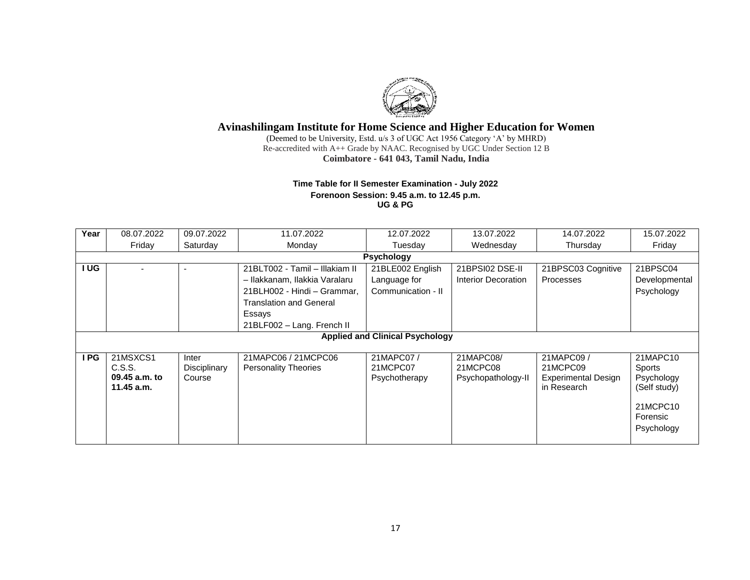

(Deemed to be University, Estd. u/s 3 of UGC Act 1956 Category 'A' by MHRD) Re-accredited with A++ Grade by NAAC. Recognised by UGC Under Section 12 B **Coimbatore - 641 043, Tamil Nadu, India**

### **Time Table for II Semester Examination - July 2022 Forenoon Session: 9.45 a.m. to 12.45 p.m. UG & PG**

| Year | 08.07.2022    | 09.07.2022   | 11.07.2022                     | 12.07.2022                             | 13.07.2022          | 14.07.2022          | 15.07.2022    |
|------|---------------|--------------|--------------------------------|----------------------------------------|---------------------|---------------------|---------------|
|      | Friday        | Saturday     | Monday                         | Tuesday                                | Wednesday           | Thursday            | Friday        |
|      |               |              |                                | <b>Psychology</b>                      |                     |                     |               |
| I UG |               |              | 21BLT002 - Tamil - Illakiam II | 21BLE002 English                       | 21BPSI02 DSE-II     | 21BPSC03 Cognitive  | 21BPSC04      |
|      |               |              | - Ilakkanam, Ilakkia Varalaru  | Language for                           | Interior Decoration | <b>Processes</b>    | Developmental |
|      |               |              | 21BLH002 - Hindi - Grammar,    | Communication - II                     |                     |                     | Psychology    |
|      |               |              | <b>Translation and General</b> |                                        |                     |                     |               |
|      |               |              | Essays                         |                                        |                     |                     |               |
|      |               |              | 21BLF002 - Lang. French II     |                                        |                     |                     |               |
|      |               |              |                                | <b>Applied and Clinical Psychology</b> |                     |                     |               |
|      |               |              |                                |                                        |                     |                     |               |
| I PG | 21MSXCS1      | Inter        | 21MAPC06 / 21MCPC06            | 21MAPC07/                              | 21MAPC08/           | 21MAPC09/           | 21MAPC10      |
|      | C.S.S.        | Disciplinary | <b>Personality Theories</b>    | 21MCPC07                               | 21MCPC08            | 21MCPC09            | Sports        |
|      | 09.45 a.m. to | Course       |                                | Psychotherapy                          | Psychopathology-II  | Experimental Design | Psychology    |
|      | $11.45$ a.m.  |              |                                |                                        |                     | in Research         | (Self study)  |
|      |               |              |                                |                                        |                     |                     | 21MCPC10      |
|      |               |              |                                |                                        |                     |                     | Forensic      |
|      |               |              |                                |                                        |                     |                     | Psychology    |
|      |               |              |                                |                                        |                     |                     |               |
|      |               |              |                                |                                        |                     |                     |               |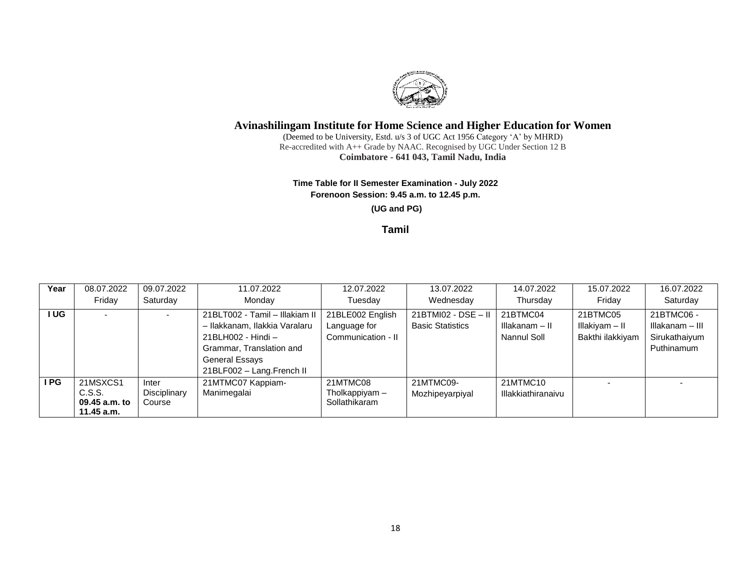

(Deemed to be University, Estd. u/s 3 of UGC Act 1956 Category 'A' by MHRD) Re-accredited with A++ Grade by NAAC. Recognised by UGC Under Section 12 B **Coimbatore - 641 043, Tamil Nadu, India**

### **Time Table for II Semester Examination - July 2022 Forenoon Session: 9.45 a.m. to 12.45 p.m.**

### **(UG and PG)**

## **Tamil**

| Year | 08.07.2022                                        | 09.07.2022                      | 11.07.2022                                                                                                                                                              | 12.07.2022                                             | 13.07.2022                                       | 14.07.2022                                | 15.07.2022                                     | 16.07.2022                                                   |
|------|---------------------------------------------------|---------------------------------|-------------------------------------------------------------------------------------------------------------------------------------------------------------------------|--------------------------------------------------------|--------------------------------------------------|-------------------------------------------|------------------------------------------------|--------------------------------------------------------------|
|      | Friday                                            | Saturday                        | Monday                                                                                                                                                                  | Tuesday                                                | Wednesday                                        | Thursday                                  | Friday                                         | Saturday                                                     |
| UG   |                                                   |                                 | 21BLT002 - Tamil - Illakiam II<br>- Ilakkanam, Ilakkia Varalaru<br>21BLH002 - Hindi -<br>Grammar, Translation and<br><b>General Essays</b><br>21BLF002 - Lang.French II | 21BLE002 English<br>Language for<br>Communication - II | $21BTM102 - DSE - II$<br><b>Basic Statistics</b> | 21BTMC04<br>Illakanam - II<br>Nannul Soll | 21BTMC05<br>Illakiyam - II<br>Bakthi ilakkiyam | 21BTMC06 -<br>Illakanam - III<br>Sirukathaiyum<br>Puthinamum |
| I PG | 21MSXCS1<br>C.S.S.<br>09.45 a.m. to<br>11.45 a.m. | Inter<br>Disciplinary<br>Course | 21MTMC07 Kappiam-<br>Manimegalai                                                                                                                                        | 21MTMC08<br>Tholkappiyam -<br>Sollathikaram            | 21MTMC09-<br>Mozhipeyarpiyal                     | 21MTMC10<br>Illakkiathiranaivu            |                                                |                                                              |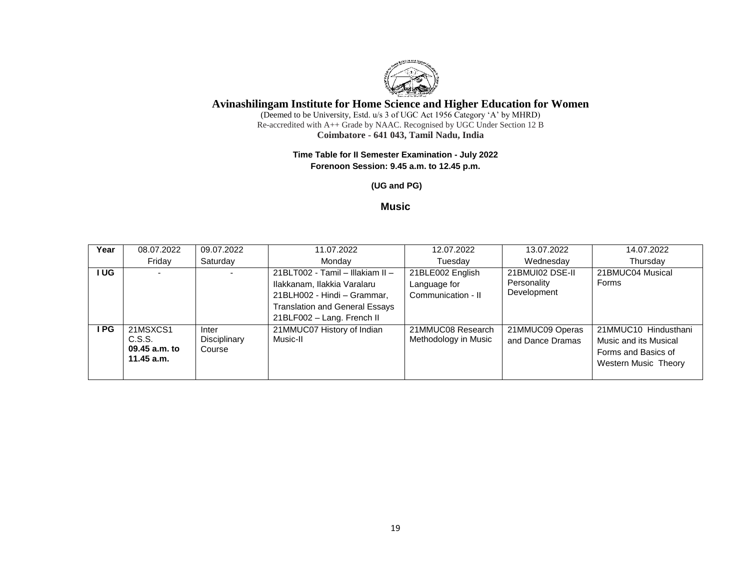

(Deemed to be University, Estd. u/s 3 of UGC Act 1956 Category 'A' by MHRD) Re-accredited with A++ Grade by NAAC. Recognised by UGC Under Section 12 B **Coimbatore - 641 043, Tamil Nadu, India**

### **Time Table for II Semester Examination - July 2022 Forenoon Session: 9.45 a.m. to 12.45 p.m.**

**(UG and PG)**

## **Music**

| Year  | 08.07.2022                                        | 09.07.2022                      | 11.07.2022                                                                                                                                                            | 12.07.2022                                             | 13.07.2022                                    | 14.07.2022                                                                                          |
|-------|---------------------------------------------------|---------------------------------|-----------------------------------------------------------------------------------------------------------------------------------------------------------------------|--------------------------------------------------------|-----------------------------------------------|-----------------------------------------------------------------------------------------------------|
|       |                                                   |                                 |                                                                                                                                                                       |                                                        |                                               |                                                                                                     |
|       | Friday                                            | Saturday                        | Monday                                                                                                                                                                | Tuesday                                                | Wednesday                                     | Thursday                                                                                            |
| I UG. | $\overline{\phantom{0}}$                          |                                 | 21BLT002 - Tamil - Illakiam II -<br>Ilakkanam, Ilakkia Varalaru<br>21BLH002 - Hindi - Grammar,<br><b>Translation and General Essays</b><br>21BLF002 - Lang. French II | 21BLE002 English<br>Language for<br>Communication - II | 21BMUI02 DSE-II<br>Personality<br>Development | 21BMUC04 Musical<br>Forms                                                                           |
| I PG. | 21MSXCS1<br>C.S.S.<br>09.45 a.m. to<br>11.45 a.m. | Inter<br>Disciplinary<br>Course | 21MMUC07 History of Indian<br>Music-II                                                                                                                                | 21MMUC08 Research<br>Methodology in Music              | 21MMUC09 Operas<br>and Dance Dramas           | 21MMUC10 Hindusthani<br>Music and its Musical<br>Forms and Basics of<br><b>Western Music Theory</b> |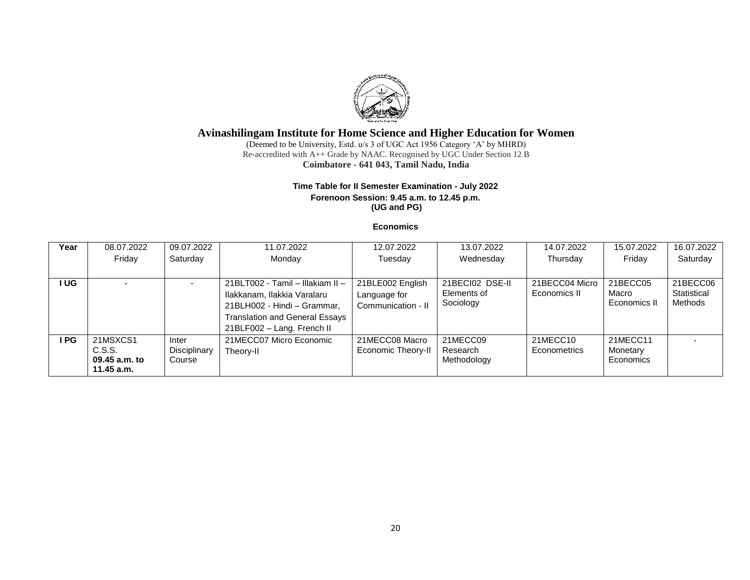

(Deemed to be University, Estd. u/s 3 of UGC Act 1956 Category 'A' by MHRD) Re-accredited with A++ Grade by NAAC. Recognised by UGC Under Section 12 B **Coimbatore - 641 043, Tamil Nadu, India**

### **Time Table for II Semester Examination - July 2022 Forenoon Session: 9.45 a.m. to 12.45 p.m. (UG and PG)**

#### **Economics**

| Year  | 08.07.2022                                        | 09.07.2022                      | 11.07.2022                                                                                                                                                            | 12.07.2022                                             | 13.07.2022                                  | 14.07.2022                     | 15.07.2022                        | 16.07.2022                         |
|-------|---------------------------------------------------|---------------------------------|-----------------------------------------------------------------------------------------------------------------------------------------------------------------------|--------------------------------------------------------|---------------------------------------------|--------------------------------|-----------------------------------|------------------------------------|
|       | Friday                                            | Saturday                        | Monday                                                                                                                                                                | Tuesday                                                | Wednesday                                   |                                | Friday                            | Saturday                           |
|       |                                                   |                                 |                                                                                                                                                                       |                                                        |                                             |                                |                                   |                                    |
| I UG  |                                                   |                                 | 21BLT002 - Tamil - Illakiam II -<br>Ilakkanam, Ilakkia Varalaru<br>21BLH002 - Hindi - Grammar,<br><b>Translation and General Essays</b><br>21BLF002 - Lang. French II | 21BLE002 English<br>Language for<br>Communication - II | 21BECI02 DSE-II<br>Elements of<br>Sociology | 21BECC04 Micro<br>Economics II | 21BECC05<br>Macro<br>Economics II | 21BECC06<br>Statistical<br>Methods |
| I PG. | 21MSXCS1<br>C.S.S.<br>09.45 a.m. to<br>11.45 a.m. | Inter<br>Disciplinary<br>Course | 21MECC07 Micro Economic<br>Theory-II                                                                                                                                  | 21MECC08 Macro<br>Economic Theory-II                   | 21MECC09<br>Research<br>Methodology         | 21MECC10<br>Econometrics       | 21MECC11<br>Monetary<br>Economics |                                    |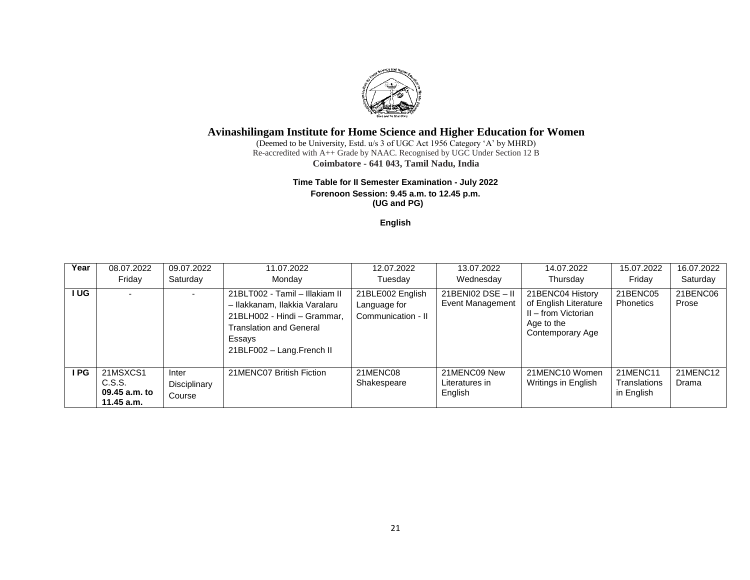

(Deemed to be University, Estd. u/s 3 of UGC Act 1956 Category 'A' by MHRD) Re-accredited with A++ Grade by NAAC. Recognised by UGC Under Section 12 B **Coimbatore - 641 043, Tamil Nadu, India**

#### **Time Table for II Semester Examination - July 2022 Forenoon Session: 9.45 a.m. to 12.45 p.m. (UG and PG)**

**English**

| Year | 08.07.2022<br>Friday                              | 09.07.2022<br>Saturday          | 11.07.2022<br>Monday                                                                                                                                                    | 12.07.2022<br>Tuesday                                  | 13.07.2022<br>Wednesday                         | 14.07.2022<br>Thursday                                                                             | 15.07.2022<br>Friday                          | 16.07.2022<br>Saturday |
|------|---------------------------------------------------|---------------------------------|-------------------------------------------------------------------------------------------------------------------------------------------------------------------------|--------------------------------------------------------|-------------------------------------------------|----------------------------------------------------------------------------------------------------|-----------------------------------------------|------------------------|
| I UG |                                                   |                                 | 21BLT002 - Tamil - Illakiam II<br>- Ilakkanam, Ilakkia Varalaru<br>21BLH002 - Hindi - Grammar,<br><b>Translation and General</b><br>Essays<br>21BLF002 - Lang.French II | 21BLE002 English<br>Language for<br>Communication - II | $21$ BENI02 DSE - II<br><b>Event Management</b> | 21BENC04 History<br>of English Literature<br>II - from Victorian<br>Age to the<br>Contemporary Age | 21BENC05<br>Phonetics                         | 21BENC06<br>Prose      |
| PG   | 21MSXCS1<br>C.S.S.<br>09.45 a.m. to<br>11.45 a.m. | Inter<br>Disciplinary<br>Course | 21MENC07 British Fiction                                                                                                                                                | 21MENC08<br>Shakespeare                                | 21MENC09 New<br>Literatures in<br>English       | 21MENC10 Women<br>Writings in English                                                              | 21MENC11<br><b>Translations</b><br>in English | 21MENC12<br>Drama      |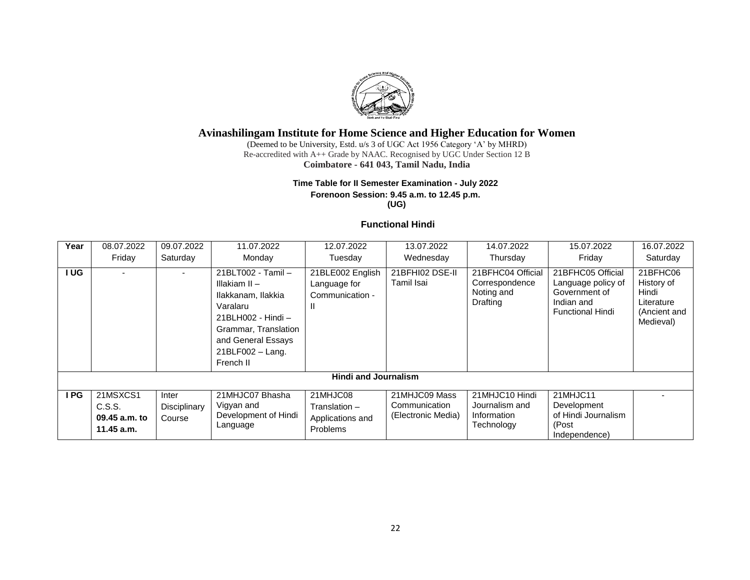

(Deemed to be University, Estd. u/s 3 of UGC Act 1956 Category 'A' by MHRD) Re-accredited with A++ Grade by NAAC. Recognised by UGC Under Section 12 B **Coimbatore - 641 043, Tamil Nadu, India**

# **Time Table for II Semester Examination - July 2022 Forenoon Session: 9.45 a.m. to 12.45 p.m.**

**(UG)**

## **Functional Hindi**

| Year | 08.07.2022<br>Friday                              | 09.07.2022<br>Saturday          | 11.07.2022<br>Monday                                                                                                                                                       | 12.07.2022<br>Tuesday                                            | 13.07.2022<br>Wednesday                              | 14.07.2022<br>Thursday                                        | 15.07.2022<br>Friday                                                                              | 16.07.2022<br>Saturday                                                     |
|------|---------------------------------------------------|---------------------------------|----------------------------------------------------------------------------------------------------------------------------------------------------------------------------|------------------------------------------------------------------|------------------------------------------------------|---------------------------------------------------------------|---------------------------------------------------------------------------------------------------|----------------------------------------------------------------------------|
| I UG |                                                   |                                 | 21BLT002 - Tamil -<br>Illakiam II -<br>Ilakkanam, Ilakkia<br>Varalaru<br>21BLH002 - Hindi -<br>Grammar, Translation<br>and General Essays<br>21BLF002 - Lang.<br>French II | 21BLE002 English<br>Language for<br>Communication -<br>Ш         | 21BFHI02 DSE-II<br>Tamil Isai                        | 21BFHC04 Official<br>Correspondence<br>Noting and<br>Drafting | 21BFHC05 Official<br>Language policy of<br>Government of<br>Indian and<br><b>Functional Hindi</b> | 21BFHC06<br>History of<br>Hindi<br>Literature<br>(Ancient and<br>Medieval) |
|      |                                                   |                                 |                                                                                                                                                                            | <b>Hindi and Journalism</b>                                      |                                                      |                                                               |                                                                                                   |                                                                            |
| I PG | 21MSXCS1<br>C.S.S.<br>09.45 a.m. to<br>11.45 a.m. | Inter<br>Disciplinary<br>Course | 21MHJC07 Bhasha<br>Vigyan and<br>Development of Hindi<br>Language                                                                                                          | 21MHJC08<br>Translation -<br>Applications and<br><b>Problems</b> | 21MHJC09 Mass<br>Communication<br>(Electronic Media) | 21MHJC10 Hindi<br>Journalism and<br>Information<br>Technology | 21MHJC11<br>Development<br>of Hindi Journalism<br>(Post<br>Independence)                          |                                                                            |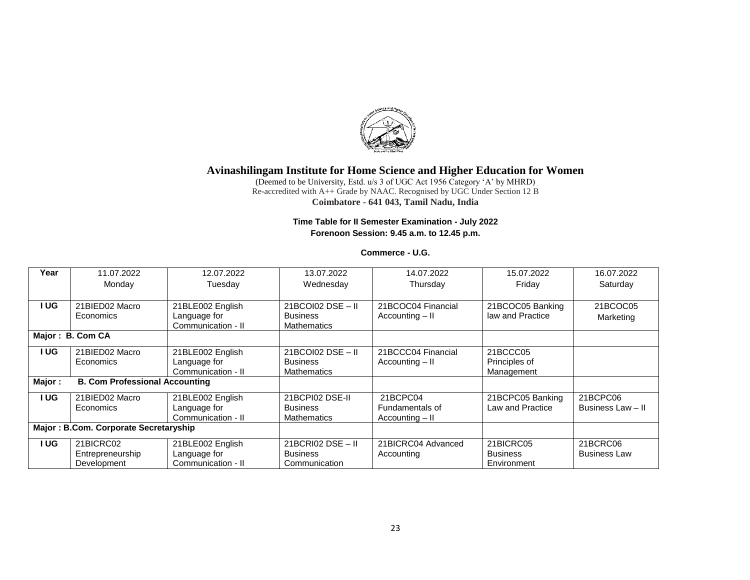

(Deemed to be University, Estd. u/s 3 of UGC Act 1956 Category 'A' by MHRD) Re-accredited with A++ Grade by NAAC. Recognised by UGC Under Section 12 B **Coimbatore - 641 043, Tamil Nadu, India**

### **Time Table for II Semester Examination - July 2022 Forenoon Session: 9.45 a.m. to 12.45 p.m.**

### **Commerce - U.G.**

| Year   | 11.07.2022                            | 12.07.2022         | 13.07.2022          | 14.07.2022         | 15.07.2022       | 16.07.2022          |
|--------|---------------------------------------|--------------------|---------------------|--------------------|------------------|---------------------|
|        | Monday                                | Tuesday            | Wednesday           | Thursday           | Friday           | Saturday            |
|        |                                       |                    |                     |                    |                  |                     |
| UG.    | 21BIED02 Macro                        | 21BLE002 English   | $21BCO102$ DSE - II | 21BCOC04 Financial | 21BCOC05 Banking | 21BCOC05            |
|        | Economics                             | Language for       | <b>Business</b>     | Accounting - II    | law and Practice | Marketing           |
|        |                                       | Communication - II | <b>Mathematics</b>  |                    |                  |                     |
|        | Major: B. Com CA                      |                    |                     |                    |                  |                     |
| I UG.  | 21BIED02 Macro                        | 21BLE002 English   | $21BCO102$ DSE - II | 21BCCC04 Financial | 21BCCC05         |                     |
|        | Economics                             | Language for       | <b>Business</b>     | Accounting - II    | Principles of    |                     |
|        |                                       | Communication - II | <b>Mathematics</b>  |                    | Management       |                     |
| Major: | <b>B. Com Professional Accounting</b> |                    |                     |                    |                  |                     |
| I UG.  | 21BIED02 Macro                        | 21BLE002 English   | 21BCPI02 DSE-II     | 21BCPC04           | 21BCPC05 Banking | 21BCPC06            |
|        | Economics                             | Language for       | <b>Business</b>     | Fundamentals of    | Law and Practice | Business Law - II   |
|        |                                       | Communication - II | <b>Mathematics</b>  | Accounting - II    |                  |                     |
|        | Major: B.Com. Corporate Secretaryship |                    |                     |                    |                  |                     |
| I UG   | 21BICRC02                             | 21BLE002 English   | $21BCRI02$ DSE - II | 21BICRC04 Advanced | 21BICRC05        | 21BCRC06            |
|        | Entrepreneurship                      | Language for       | <b>Business</b>     | Accounting         | <b>Business</b>  | <b>Business Law</b> |
|        | Development                           | Communication - II | Communication       |                    | Environment      |                     |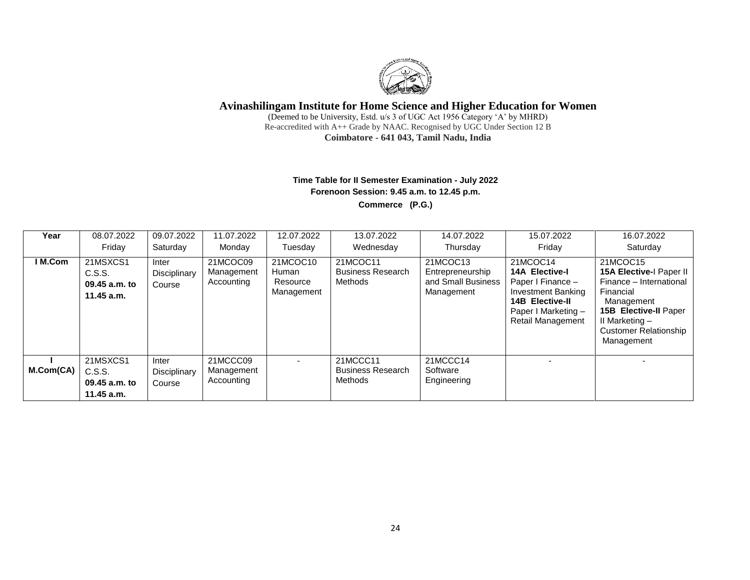

(Deemed to be University, Estd. u/s 3 of UGC Act 1956 Category 'A' by MHRD) Re-accredited with A++ Grade by NAAC. Recognised by UGC Under Section 12 B **Coimbatore - 641 043, Tamil Nadu, India**

## **Time Table for II Semester Examination - July 2022 Forenoon Session: 9.45 a.m. to 12.45 p.m. Commerce (P.G.)**

| Year      | 08.07.2022<br>Fridav                                | 09.07.2022<br>Saturdav          | 11.07.2022<br>Monday                 | 12.07.2022<br>Tuesday                       | 13.07.2022<br>Wednesdav                         | 14.07.2022<br>Thursday                                           | 15.07.2022<br>Friday                                                                                                                                      | 16.07.2022<br>Saturday                                                                                                                                                                    |
|-----------|-----------------------------------------------------|---------------------------------|--------------------------------------|---------------------------------------------|-------------------------------------------------|------------------------------------------------------------------|-----------------------------------------------------------------------------------------------------------------------------------------------------------|-------------------------------------------------------------------------------------------------------------------------------------------------------------------------------------------|
| I M.Com   | 21MSXCS1<br>C.S.S.<br>09.45 a.m. to<br>11.45 a.m.   | Inter<br>Disciplinary<br>Course | 21MCOC09<br>Management<br>Accounting | 21MCOC10<br>Human<br>Resource<br>Management | 21MCOC11<br><b>Business Research</b><br>Methods | 21MCOC13<br>Entrepreneurship<br>and Small Business<br>Management | 21MCOC14<br><b>14A Elective-I</b><br>Paper I Finance -<br><b>Investment Banking</b><br><b>14B Elective-II</b><br>Paper I Marketing -<br>Retail Management | 21MCOC15<br>15A Elective-I Paper II<br>Finance - International<br>Financial<br>Management<br><b>15B Elective-II Paper</b><br>II Marketing -<br><b>Customer Relationship</b><br>Management |
| M.Com(CA) | 21MSXCS1<br>C.S.S.<br>09.45 a.m. to<br>$11.45$ a.m. | Inter<br>Disciplinary<br>Course | 21MCCC09<br>Management<br>Accounting | $\overline{\phantom{0}}$                    | 21MCCC11<br><b>Business Research</b><br>Methods | 21MCCC14<br>Software<br>Engineering                              |                                                                                                                                                           |                                                                                                                                                                                           |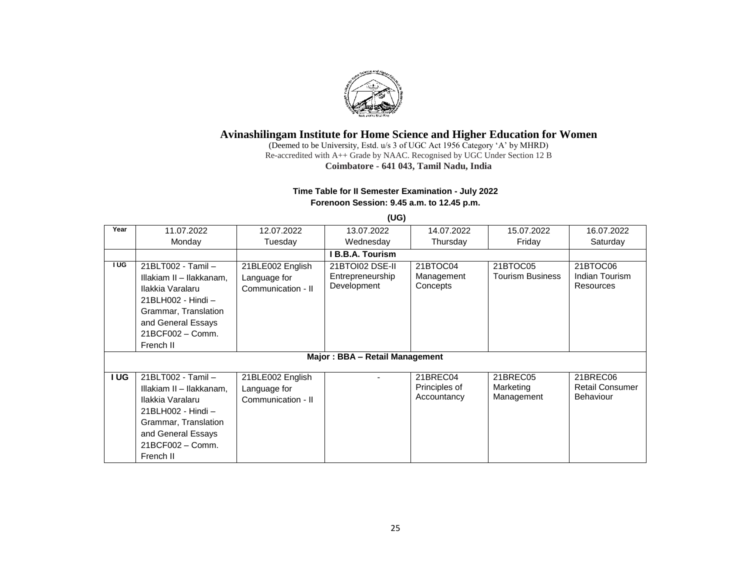

(Deemed to be University, Estd. u/s 3 of UGC Act 1956 Category 'A' by MHRD) Re-accredited with A++ Grade by NAAC. Recognised by UGC Under Section 12 B **Coimbatore - 641 043, Tamil Nadu, India**

## **Time Table for II Semester Examination - July 2022 Forenoon Session: 9.45 a.m. to 12.45 p.m.**

|      |                                                                                                                                                                         |                                                        | (UG)                                               |                                          |                                     |                                                        |
|------|-------------------------------------------------------------------------------------------------------------------------------------------------------------------------|--------------------------------------------------------|----------------------------------------------------|------------------------------------------|-------------------------------------|--------------------------------------------------------|
| Year | 11.07.2022                                                                                                                                                              | 12.07.2022                                             | 13.07.2022                                         | 14.07.2022                               | 15.07.2022                          | 16.07.2022                                             |
|      | Monday                                                                                                                                                                  | Tuesday                                                | Wednesday                                          | Thursday                                 | Friday                              | Saturday                                               |
|      |                                                                                                                                                                         |                                                        | I B.B.A. Tourism                                   |                                          |                                     |                                                        |
| I UG | 21BLT002 - Tamil -<br>Illakiam II - Ilakkanam,<br>Ilakkia Varalaru<br>21BLH002 - Hindi -<br>Grammar, Translation<br>and General Essays<br>21BCF002 - Comm.<br>French II | 21BLE002 English<br>Language for<br>Communication - II | 21BTOI02 DSE-II<br>Entrepreneurship<br>Development | 21BTOC04<br>Management<br>Concepts       | 21BTOC05<br><b>Tourism Business</b> | 21BTOC06<br>Indian Tourism<br>Resources                |
|      |                                                                                                                                                                         |                                                        | Major: BBA - Retail Management                     |                                          |                                     |                                                        |
| I UG | 21BLT002 - Tamil -<br>Illakiam II - Ilakkanam,<br>Ilakkia Varalaru<br>21BLH002 - Hindi -<br>Grammar, Translation<br>and General Essays<br>21BCF002 - Comm.<br>French II | 21BLE002 English<br>Language for<br>Communication - II |                                                    | 21BREC04<br>Principles of<br>Accountancy | 21BREC05<br>Marketing<br>Management | 21BREC06<br><b>Retail Consumer</b><br><b>Behaviour</b> |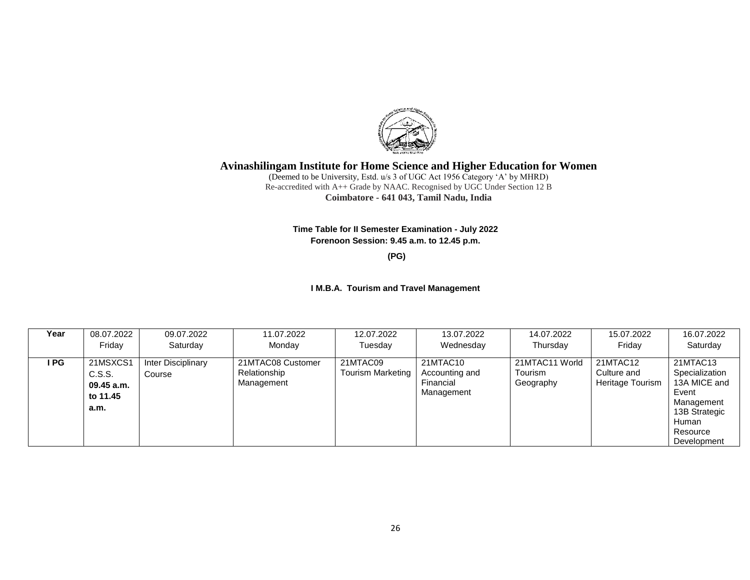

(Deemed to be University, Estd. u/s 3 of UGC Act 1956 Category 'A' by MHRD) Re-accredited with A++ Grade by NAAC. Recognised by UGC Under Section 12 B **Coimbatore - 641 043, Tamil Nadu, India**

**Time Table for II Semester Examination - July 2022 Forenoon Session: 9.45 a.m. to 12.45 p.m.**

**(PG)**

#### **I M.B.A. Tourism and Travel Management**

| Year | 08.07.2022                                             | 09.07.2022                   | 11.07.2022                                      | 12.07.2022                           | 13.07.2022                                            | 14.07.2022                             | 15.07.2022                                  | 16.07.2022                                                                                                             |
|------|--------------------------------------------------------|------------------------------|-------------------------------------------------|--------------------------------------|-------------------------------------------------------|----------------------------------------|---------------------------------------------|------------------------------------------------------------------------------------------------------------------------|
|      | Friday                                                 | Saturday                     | Monday                                          | Tuesday                              | Wednesday                                             | Thursday                               | Fridav                                      | Saturday                                                                                                               |
| I PG | 21MSXCS1<br>C.S.S.<br>$09.45$ a.m.<br>to 11.45<br>a.m. | Inter Disciplinary<br>Course | 21MTAC08 Customer<br>Relationship<br>Management | 21MTAC09<br><b>Tourism Marketing</b> | 21MTAC10<br>Accounting and<br>Financial<br>Management | 21MTAC11 World<br>Tourism<br>Geography | 21MTAC12<br>Culture and<br>Heritage Tourism | 21MTAC13<br>Specialization<br>13A MICE and<br>Event<br>Management<br>13B Strategic<br>Human<br>Resource<br>Development |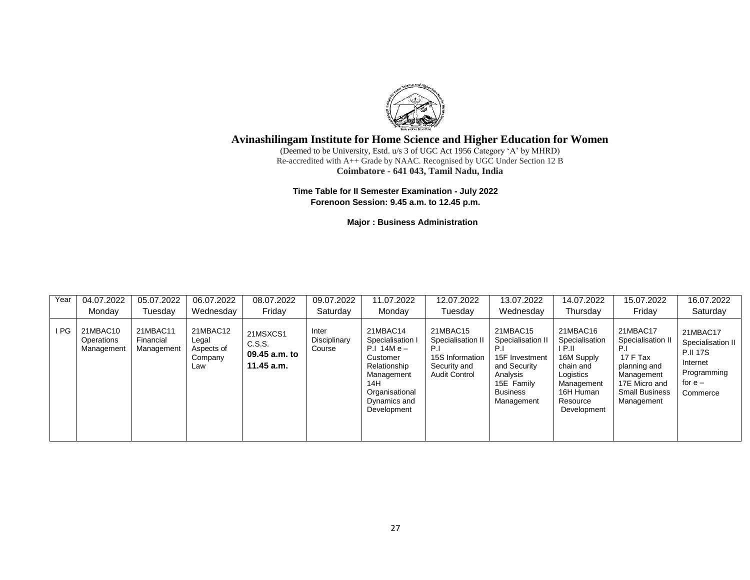

(Deemed to be University, Estd. u/s 3 of UGC Act 1956 Category 'A' by MHRD) Re-accredited with A++ Grade by NAAC. Recognised by UGC Under Section 12 B **Coimbatore - 641 043, Tamil Nadu, India**

**Time Table for II Semester Examination - July 2022 Forenoon Session: 9.45 a.m. to 12.45 p.m.**

**Major : Business Administration**

| Year | 04.07.2022                           | 05.07.2022                          | 06.07.2022                                        | 08.07.2022                                        | 09.07.2022                      | 11.07.2022                                                                                                                                       | 12.07.2022                                                                                      | 13.07.2022                                                                                                                 | 14.07.2022                                                                                                                         | 15.07.2022                                                                                                                            | 16.07.2022                                                                                           |
|------|--------------------------------------|-------------------------------------|---------------------------------------------------|---------------------------------------------------|---------------------------------|--------------------------------------------------------------------------------------------------------------------------------------------------|-------------------------------------------------------------------------------------------------|----------------------------------------------------------------------------------------------------------------------------|------------------------------------------------------------------------------------------------------------------------------------|---------------------------------------------------------------------------------------------------------------------------------------|------------------------------------------------------------------------------------------------------|
|      | Mondav                               | Tuesday                             | Wednesday                                         | Fridav                                            | Saturday                        | Monday                                                                                                                                           | Tuesdav                                                                                         | Wednesday                                                                                                                  | Thursday                                                                                                                           | Friday                                                                                                                                | Saturday                                                                                             |
| I PG | 21MBAC10<br>Operations<br>Management | 21MBAC11<br>Financial<br>Management | 21MBAC12<br>Legal<br>Aspects of<br>Company<br>Law | 21MSXCS1<br>C.S.S.<br>09.45 a.m. to<br>11.45 a.m. | Inter<br>Disciplinary<br>Course | 21MBAC14<br>Specialisation I<br>$P.I. 14M e -$<br>Customer<br>Relationship<br>Management<br>14H<br>Organisational<br>Dynamics and<br>Development | 21MBAC15<br>Specialisation II<br>P.I<br>15S Information<br>Security and<br><b>Audit Control</b> | 21MBAC15<br>Specialisation II<br>15F Investment<br>and Security<br>Analysis<br>15E Family<br><b>Business</b><br>Management | 21MBAC16<br>Specialisation<br>I P.II<br>16M Supply<br>chain and<br>Logistics<br>Management<br>16H Human<br>Resource<br>Development | 21MBAC17<br>Specialisation I<br>P.I<br>17 F Tax<br>planning and<br>Management<br>17E Micro and<br><b>Small Business</b><br>Management | 21MBAC17<br>Specialisation II<br><b>P.II 17S</b><br>Internet<br>Programming<br>for $e -$<br>Commerce |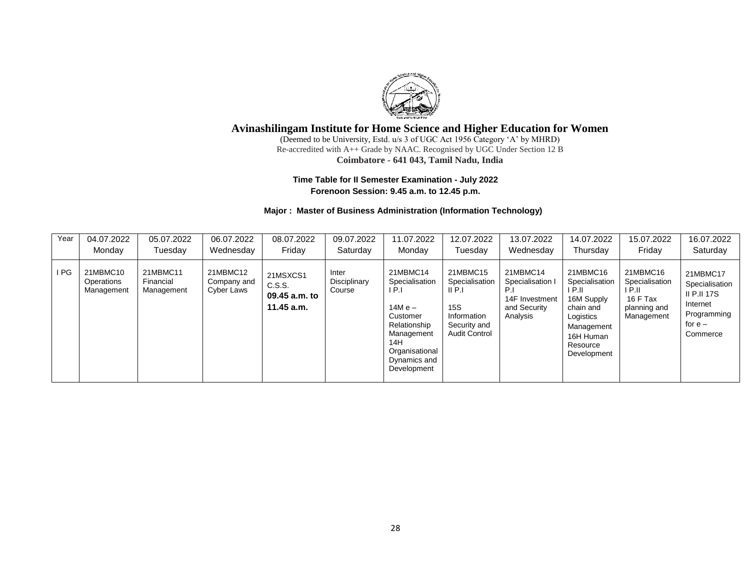

(Deemed to be University, Estd. u/s 3 of UGC Act 1956 Category 'A' by MHRD) Re-accredited with A++ Grade by NAAC. Recognised by UGC Under Section 12 B **Coimbatore - 641 043, Tamil Nadu, India**

#### **Time Table for II Semester Examination - July 2022 Forenoon Session: 9.45 a.m. to 12.45 p.m.**

#### **Major : Master of Business Administration (Information Technology)**

| Year | 04.07.2022                           | 05.07.2022                          | 06.07.2022                            | 08.07.2022                                        | 09.07.2022                      | 11.07.2022                                                                                                                                      | 12.07.2022                                                                                                  | 13.07.2022                                                                 | 14.07.2022                                                                                                                      | 15.07.2022                                                                     | 16.07.2022                                                                                           |
|------|--------------------------------------|-------------------------------------|---------------------------------------|---------------------------------------------------|---------------------------------|-------------------------------------------------------------------------------------------------------------------------------------------------|-------------------------------------------------------------------------------------------------------------|----------------------------------------------------------------------------|---------------------------------------------------------------------------------------------------------------------------------|--------------------------------------------------------------------------------|------------------------------------------------------------------------------------------------------|
|      | Monday                               | Tuesdav                             | Wednesday                             | Fridav                                            | Saturday                        | Monday                                                                                                                                          | Tuesday                                                                                                     | Wednesdav                                                                  | Thursday                                                                                                                        | Friday                                                                         | Saturday                                                                                             |
| I PG | 21MBMC10<br>Operations<br>Management | 21MBMC11<br>Financial<br>Management | 21MBMC12<br>Company and<br>Cyber Laws | 21MSXCS1<br>C.S.S.<br>09.45 a.m. to<br>11.45 a.m. | Inter<br>Disciplinary<br>Course | 21MBMC14<br>Specialisation<br>IP.I<br>14M e –<br>Customer<br>Relationship<br>Management<br>14H<br>Organisational<br>Dynamics and<br>Development | 21MBMC15<br>Specialisation<br>$II$ P.I<br><b>15S</b><br>Information<br>Security and<br><b>Audit Control</b> | 21MBMC14<br>Specialisation I<br>14F Investment<br>and Security<br>Analysis | 21MBMC16<br>Specialisation<br>P.H<br>16M Supply<br>chain and<br>Logistics<br>Management<br>16H Human<br>Resource<br>Development | 21MBMC16<br>Specialisation<br>I P.II<br>16 F Tax<br>planning and<br>Management | 21MBMC17<br>Specialisation<br><b>II P.II 17S</b><br>Internet<br>Programming<br>for $e -$<br>Commerce |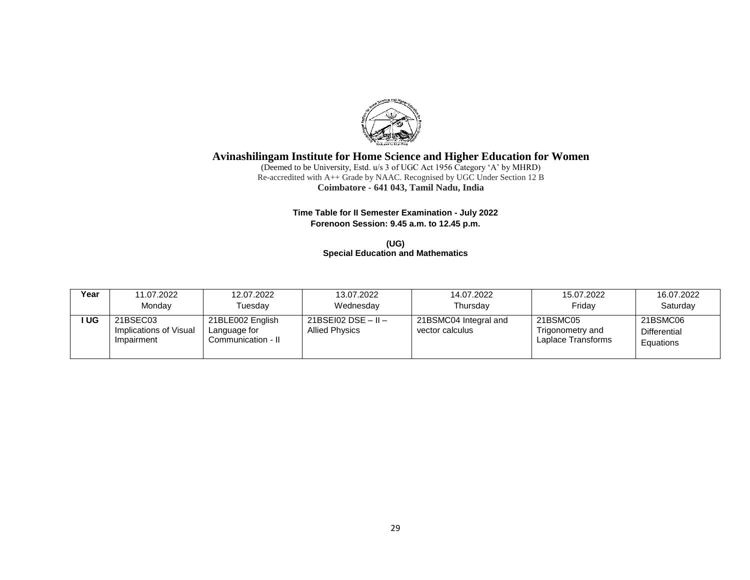

(Deemed to be University, Estd. u/s 3 of UGC Act 1956 Category 'A' by MHRD) Re-accredited with A++ Grade by NAAC. Recognised by UGC Under Section 12 B **Coimbatore - 641 043, Tamil Nadu, India**

### **Time Table for II Semester Examination - July 2022 Forenoon Session: 9.45 a.m. to 12.45 p.m.**

**(UG) Special Education and Mathematics** 

| Year | 11.07.2022                                       | 12.07.2022                                             | 13.07.2022                                     | 14.07.2022                               | 15.07.2022                                         | 16.07.2022                                   |
|------|--------------------------------------------------|--------------------------------------------------------|------------------------------------------------|------------------------------------------|----------------------------------------------------|----------------------------------------------|
|      | Monday                                           | Tuesdav                                                | Wednesday                                      | Thursday                                 | Fridav                                             | Saturday                                     |
| UG   | 21BSEC03<br>Implications of Visual<br>Impairment | 21BLE002 English<br>Language for<br>Communication - II | $21BSE102$ DSE – II –<br><b>Allied Physics</b> | 21BSMC04 Integral and<br>vector calculus | 21BSMC05<br>Trigonometry and<br>Laplace Transforms | 21BSMC06<br><b>Differential</b><br>Equations |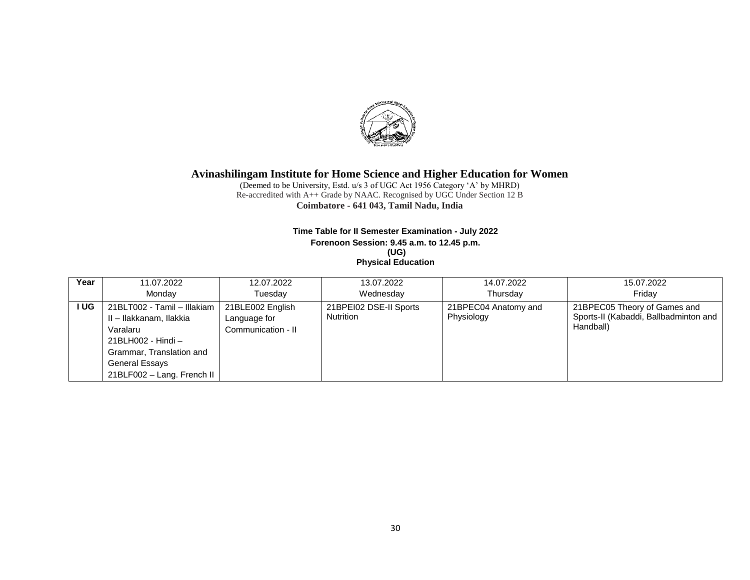

(Deemed to be University, Estd. u/s 3 of UGC Act 1956 Category 'A' by MHRD) Re-accredited with A++ Grade by NAAC. Recognised by UGC Under Section 12 B **Coimbatore - 641 043, Tamil Nadu, India**

#### **Time Table for II Semester Examination - July 2022 Forenoon Session: 9.45 a.m. to 12.45 p.m. (UG) Physical Education**

| Year | 11.07.2022                  | 12.07.2022         | 13.07.2022             | 14.07.2022           | 15.07.2022                            |
|------|-----------------------------|--------------------|------------------------|----------------------|---------------------------------------|
|      | Mondav                      | Tuesdav            | Wednesdav              | Thursdav             | Fridav                                |
| I UG | 21BLT002 - Tamil - Illakiam | 21BLE002 English   | 21BPEI02 DSE-II Sports | 21BPEC04 Anatomy and | 21BPEC05 Theory of Games and          |
|      | II - Ilakkanam, Ilakkia     | Language for       | <b>Nutrition</b>       | Physiology           | Sports-II (Kabaddi, Ballbadminton and |
|      | Varalaru                    | Communication - II |                        |                      | Handball)                             |
|      | 21BLH002 - Hindi -          |                    |                        |                      |                                       |
|      | Grammar, Translation and    |                    |                        |                      |                                       |
|      | <b>General Essays</b>       |                    |                        |                      |                                       |
|      | 21BLF002 - Lang. French II  |                    |                        |                      |                                       |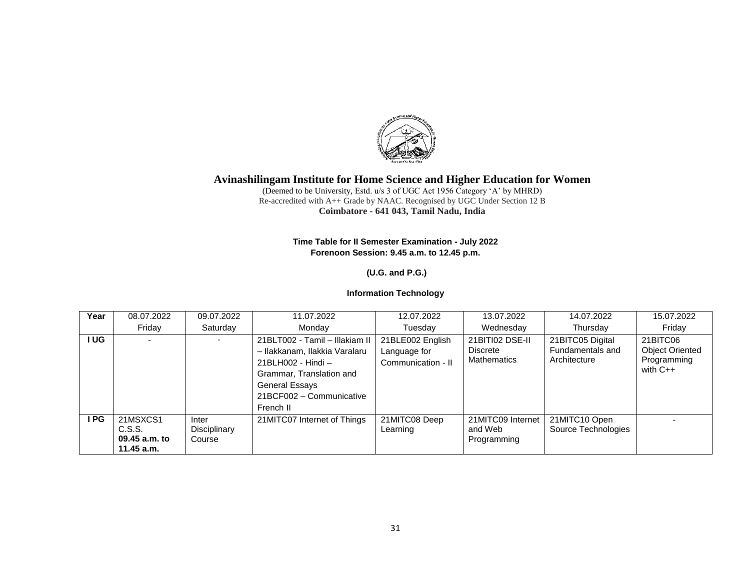

(Deemed to be University, Estd. u/s 3 of UGC Act 1956 Category 'A' by MHRD) Re-accredited with A++ Grade by NAAC. Recognised by UGC Under Section 12 B **Coimbatore - 641 043, Tamil Nadu, India**

### **Time Table for II Semester Examination - July 2022 Forenoon Session: 9.45 a.m. to 12.45 p.m.**

## **(U.G. and P.G.)**

## **Information Technology**

| Year | 08.07.2022                                        | 09.07.2022                      | 11.07.2022                                                                                                                                                                   | 12.07.2022                                             | 13.07.2022                                               | 14.07.2022                                           | 15.07.2022                                                      |
|------|---------------------------------------------------|---------------------------------|------------------------------------------------------------------------------------------------------------------------------------------------------------------------------|--------------------------------------------------------|----------------------------------------------------------|------------------------------------------------------|-----------------------------------------------------------------|
|      | Friday                                            | Saturday                        | Monday                                                                                                                                                                       | Tuesday                                                | Wednesday                                                | Thursday                                             | Friday                                                          |
| I UG |                                                   | $\sim$                          | 21BLT002 - Tamil - Illakiam II<br>- Ilakkanam, Ilakkia Varalaru<br>21BLH002 - Hindi -<br>Grammar, Translation and<br>General Essays<br>21BCF002 - Communicative<br>French II | 21BLE002 English<br>Language for<br>Communication - II | 21BITI02 DSE-II<br><b>Discrete</b><br><b>Mathematics</b> | 21BITC05 Digital<br>Fundamentals and<br>Architecture | 21BITC06<br><b>Object Oriented</b><br>Programming<br>with $C++$ |
| I PG | 21MSXCS1<br>C.S.S.<br>09.45 a.m. to<br>11.45 a.m. | Inter<br>Disciplinary<br>Course | 21MITC07 Internet of Things                                                                                                                                                  | 21MITC08 Deep<br>Learning                              | 21MITC09 Internet<br>and Web<br>Programming              | 21MITC10 Open<br>Source Technologies                 |                                                                 |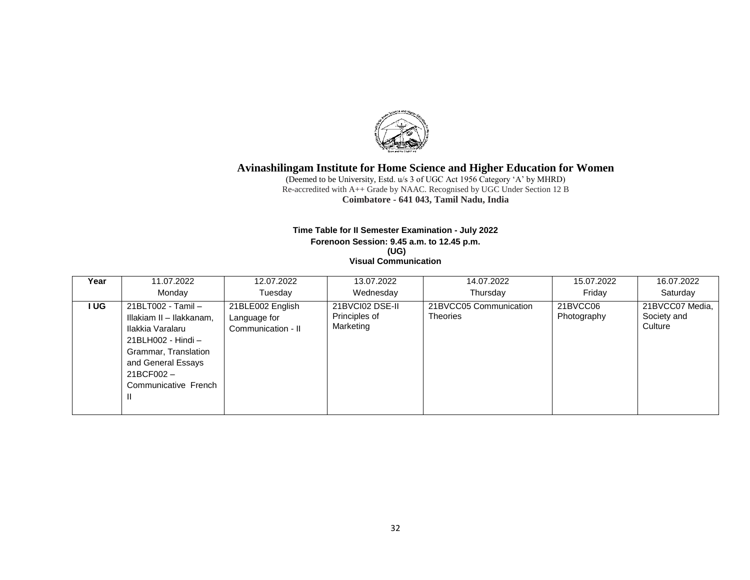

(Deemed to be University, Estd. u/s 3 of UGC Act 1956 Category 'A' by MHRD) Re-accredited with A++ Grade by NAAC. Recognised by UGC Under Section 12 B **Coimbatore - 641 043, Tamil Nadu, India**

#### **Time Table for II Semester Examination - July 2022 Forenoon Session: 9.45 a.m. to 12.45 p.m. (UG) Visual Communication**

| Year | 11.07.2022                                                                                                                                                                         | 12.07.2022                                             | 13.07.2022                                    | 14.07.2022                                | 15.07.2022              | 16.07.2022                                |
|------|------------------------------------------------------------------------------------------------------------------------------------------------------------------------------------|--------------------------------------------------------|-----------------------------------------------|-------------------------------------------|-------------------------|-------------------------------------------|
|      | Monday                                                                                                                                                                             | Tuesday                                                | Wednesday                                     | Thursday                                  | Friday                  | Saturday                                  |
| I UG | 21BLT002 - Tamil -<br>Illakiam II - Ilakkanam,<br>Ilakkia Varalaru<br>21BLH002 - Hindi -<br>Grammar, Translation<br>and General Essays<br>21BCF002-<br>Communicative French<br>-11 | 21BLE002 English<br>Language for<br>Communication - II | 21BVCI02 DSE-II<br>Principles of<br>Marketing | 21BVCC05 Communication<br><b>Theories</b> | 21BVCC06<br>Photography | 21BVCC07 Media,<br>Society and<br>Culture |